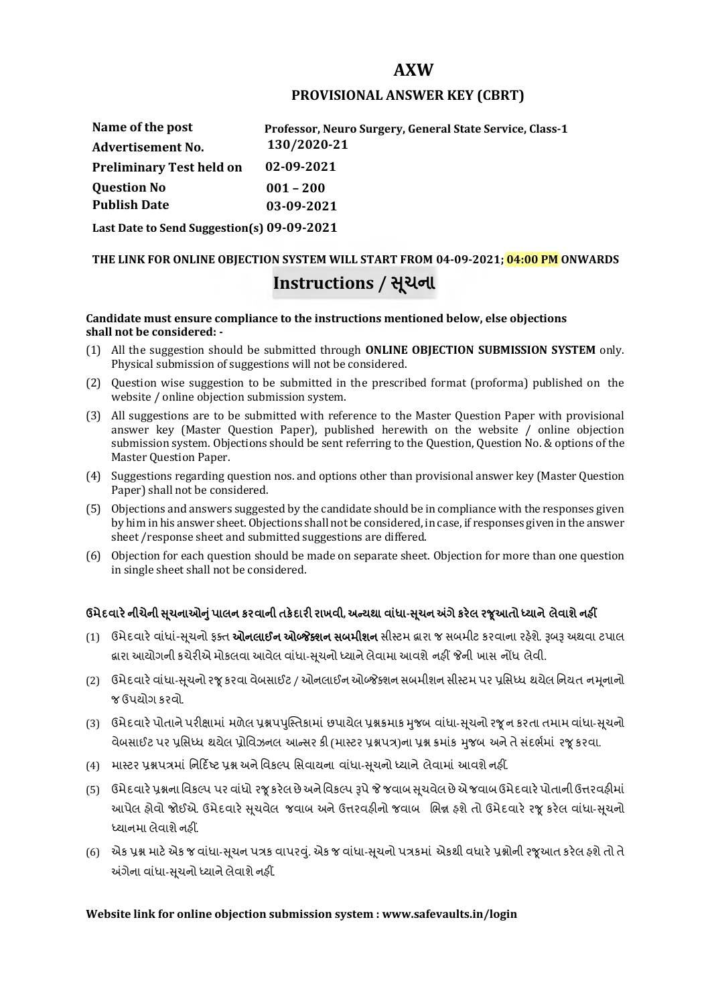## **AXW**

## **PROVISIONAL ANSWER KEY (CBRT)**

| Name of the post                           | Professor, Neuro Surgery, General State Service, Class-1 |
|--------------------------------------------|----------------------------------------------------------|
| <b>Advertisement No.</b>                   | 130/2020-21                                              |
| <b>Preliminary Test held on</b>            | 02-09-2021                                               |
| <b>Question No</b>                         | $001 - 200$                                              |
| <b>Publish Date</b>                        | 03-09-2021                                               |
| Last Date to Send Suggestion(s) 09-09-2021 |                                                          |

# **THE LINK FOR ONLINE OBJECTION SYSTEM WILL START FROM 04-09-2021; 04:00 PM ONWARDS Instructions / Ʌચના ૂ**

#### **Candidate must ensure compliance to the instructions mentioned below, else objections shall not be considered: -**

- (1) All the suggestion should be submitted through **ONLINE OBJECTION SUBMISSION SYSTEM** only. Physical submission of suggestions will not be considered.
- (2) Question wise suggestion to be submitted in the prescribed format (proforma) published on the website / online objection submission system.
- (3) All suggestions are to be submitted with reference to the Master Question Paper with provisional answer key (Master Question Paper), published herewith on the website / online objection submission system. Objections should be sent referring to the Question, Question No. & options of the Master Question Paper.
- (4) Suggestions regarding question nos. and options other than provisional answer key (Master Question Paper) shall not be considered.
- (5) Objections and answers suggested by the candidate should be in compliance with the responses given by him in his answer sheet. Objections shall not be considered, in case, if responses given in the answer sheet /response sheet and submitted suggestions are differed.
- (6) Objection for each question should be made on separate sheet. Objection for more than one question in single sheet shall not be considered.

## **ઉમેદવાર°નીચેની Ʌ ૂચનાઓȵુંપાલન કરવાની તક°દાર રાખવી, અƛયથા વા ંધા-Ʌ ૂચન Ӕગેકર°લ રȩૂઆતો ƚયાને લેવાશેનહӄ**

- (1) ઉમેદવારે વાંધાં-સુચનો ફક્ત **ઓનલાઈન ઓબ્જેક્શન સબમીશન** સીસ્ટમ હ્રારા જ સબમીટ કરવાના રહેશે. રૂબરૂ અથવા ટપાલ હ્રારા આયોગની કચેરીએ મોકલવા આવેલ વાંધા-સૂચનો ધ્યાને લેવામા આવશે નહીં જેની ખાસ નોંધ લેવી.
- (2) ઉમેદવારે વાંધા-સચનો રજ કરવા વેબસાઈટ / ઓનલાઈન ઓબ્જેક્શન સબમીશન સીસ્ટમ પર પ્રસિધ્ધ થયેલ નિયત નમનાનો જ ઉપયોગ કરવો.
- (3) ઉમેદવારે પોતાને પરીક્ષામાં મળેલ પ્રશ્નપપુસ્તિકામાં છપાયેલ પ્રશ્નક્રમાક મુજબ વાંધા-સૂચનો રજૂન કરતા તમામ વાંધા-સૂચનો વેબસાઈટ પર પ્રસિધ્ધ થયેલ પ્રોવિઝનલ આન્સર કી (માસ્ટર પ્રશ્નપત્ર)ના પ્રશ્ન ક્રમાંક મજબ અને તે સંદર્ભમાં ૨જ કરવા.
- (4) માસ્ટર પ્રશ્નપત્રમાં નિર્દિષ્ટ પ્રશ્ન અને વિકલ્પ સિવાયના વાંધા-સચનો ધ્યાને લેવામાં આવશે નહીં.
- (5) ઉમેદવારે પ્રશ્નના વિકલ્પ પર વાંધો રજૂ કરેલ છે અને વિકલ્પ રૂપે જે જવાબ સુચવેલ છે એ જવાબ ઉમેદવારે પોતાની ઉત્તરવહીમાં આપેલ હોવો જોઈએ. ઉમેદવારે સૂચવેલ જવાબ અને ઉત્તરવહીનો જવાબ ભિન્ન હશે તો ઉમેદવારે રજૂ કરેલ વાંધા-સૂચનો ધ્યાનમા લેવાશે નહીં.
- (6) એક પ્રશ્ન માટે એક જ વાંધા-સૂચન પત્રક વાપરવું. એક જ વાંધા-સૂચનો પત્રકમાં એકથી વધારે પ્રશ્નોની રજૂઆત કરેલ હશે તો તે અંગેના વાંધા-સુચનો ધ્યાને લેવાશે નહીં.

### **Website link for online objection submission system : www.safevaults.in/login**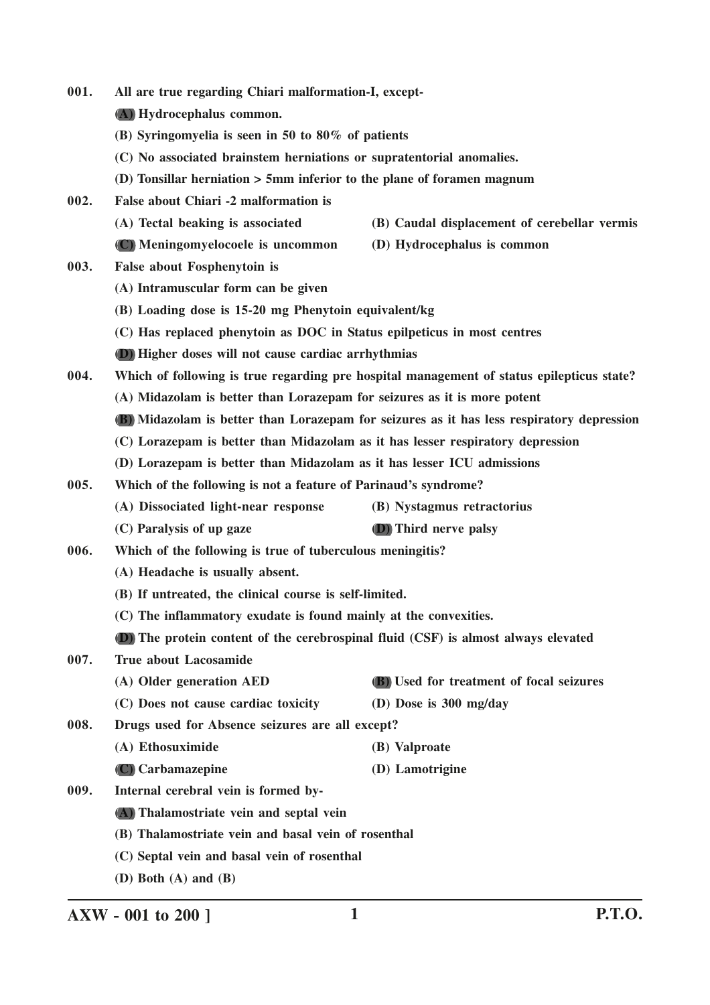| 001. | All are true regarding Chiari malformation-I, except-                          |                                                                                           |
|------|--------------------------------------------------------------------------------|-------------------------------------------------------------------------------------------|
|      | (A) Hydrocephalus common.                                                      |                                                                                           |
|      | (B) Syringomyelia is seen in 50 to 80% of patients                             |                                                                                           |
|      | (C) No associated brainstem herniations or supratentorial anomalies.           |                                                                                           |
|      | (D) Tonsillar herniation $> 5$ mm inferior to the plane of foramen magnum      |                                                                                           |
| 002. | False about Chiari -2 malformation is                                          |                                                                                           |
|      | (A) Tectal beaking is associated                                               | (B) Caudal displacement of cerebellar vermis                                              |
|      | (C) Meningomyelocoele is uncommon                                              | (D) Hydrocephalus is common                                                               |
| 003. | False about Fosphenytoin is                                                    |                                                                                           |
|      | (A) Intramuscular form can be given                                            |                                                                                           |
|      | (B) Loading dose is 15-20 mg Phenytoin equivalent/kg                           |                                                                                           |
|      | (C) Has replaced phenytoin as DOC in Status epilpeticus in most centres        |                                                                                           |
|      | (D) Higher doses will not cause cardiac arrhythmias                            |                                                                                           |
| 004. |                                                                                | Which of following is true regarding pre hospital management of status epilepticus state? |
|      | (A) Midazolam is better than Lorazepam for seizures as it is more potent       |                                                                                           |
|      |                                                                                | (B) Midazolam is better than Lorazepam for seizures as it has less respiratory depression |
|      | (C) Lorazepam is better than Midazolam as it has lesser respiratory depression |                                                                                           |
|      | (D) Lorazepam is better than Midazolam as it has lesser ICU admissions         |                                                                                           |
| 005. | Which of the following is not a feature of Parinaud's syndrome?                |                                                                                           |
|      | (A) Dissociated light-near response                                            | (B) Nystagmus retractorius                                                                |
|      | (C) Paralysis of up gaze                                                       | <b>(D)</b> Third nerve palsy                                                              |
| 006. | Which of the following is true of tuberculous meningitis?                      |                                                                                           |
|      | (A) Headache is usually absent.                                                |                                                                                           |
|      | (B) If untreated, the clinical course is self-limited.                         |                                                                                           |
|      | (C) The inflammatory exudate is found mainly at the convexities.               |                                                                                           |
|      |                                                                                | (D) The protein content of the cerebrospinal fluid (CSF) is almost always elevated        |
| 007. | <b>True about Lacosamide</b>                                                   |                                                                                           |
|      | (A) Older generation AED                                                       | (B) Used for treatment of focal seizures                                                  |
|      | (C) Does not cause cardiac toxicity                                            | (D) Dose is 300 mg/day                                                                    |
| 008. | Drugs used for Absence seizures are all except?                                |                                                                                           |
|      | (A) Ethosuximide                                                               | (B) Valproate                                                                             |
|      | (C) Carbamazepine                                                              | (D) Lamotrigine                                                                           |
| 009. | Internal cerebral vein is formed by-                                           |                                                                                           |
|      | (A) Thalamostriate vein and septal vein                                        |                                                                                           |
|      | (B) Thalamostriate vein and basal vein of rosenthal                            |                                                                                           |
|      | (C) Septal vein and basal vein of rosenthal                                    |                                                                                           |
|      | (D) Both $(A)$ and $(B)$                                                       |                                                                                           |

**AXW - 001 to 200 ] 1 P.T.O.**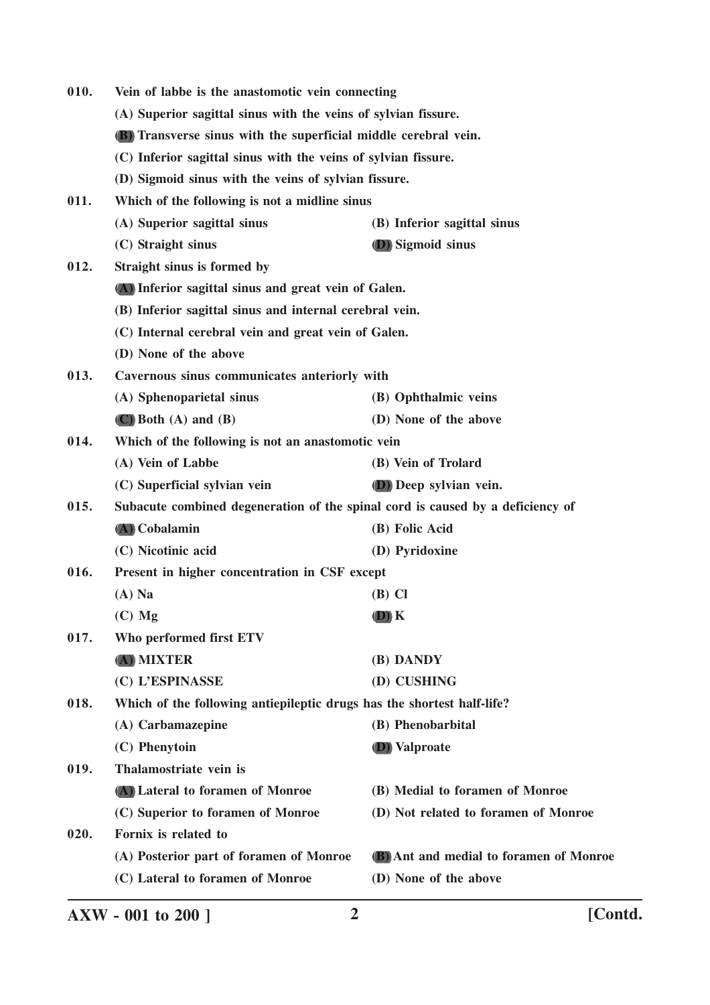| 010.<br>Vein of labbe is the anastomotic vein connecting |                                                                                |                                         |
|----------------------------------------------------------|--------------------------------------------------------------------------------|-----------------------------------------|
|                                                          | (A) Superior sagittal sinus with the veins of sylvian fissure.                 |                                         |
|                                                          | <b>(B)</b> Transverse sinus with the superficial middle cerebral vein.         |                                         |
|                                                          | (C) Inferior sagittal sinus with the veins of sylvian fissure.                 |                                         |
|                                                          | (D) Sigmoid sinus with the veins of sylvian fissure.                           |                                         |
| 011.                                                     | Which of the following is not a midline sinus                                  |                                         |
|                                                          | (A) Superior sagittal sinus                                                    | (B) Inferior sagittal sinus             |
|                                                          | (C) Straight sinus                                                             | <b>D</b> ) Sigmoid sinus                |
| 012.                                                     | Straight sinus is formed by                                                    |                                         |
|                                                          | (A) Inferior sagittal sinus and great vein of Galen.                           |                                         |
|                                                          | (B) Inferior sagittal sinus and internal cerebral vein.                        |                                         |
|                                                          | (C) Internal cerebral vein and great vein of Galen.                            |                                         |
|                                                          | (D) None of the above                                                          |                                         |
| 013.                                                     | Cavernous sinus communicates anteriorly with                                   |                                         |
|                                                          | (A) Sphenoparietal sinus                                                       | (B) Ophthalmic veins                    |
|                                                          | $(C)$ Both $(A)$ and $(B)$                                                     | (D) None of the above                   |
| 014.                                                     | Which of the following is not an anastomotic vein                              |                                         |
|                                                          | (A) Vein of Labbe                                                              | (B) Vein of Trolard                     |
|                                                          | (C) Superficial sylvian vein                                                   | <b>D</b> ) Deep sylvian vein.           |
| 015.                                                     | Subacute combined degeneration of the spinal cord is caused by a deficiency of |                                         |
|                                                          | (A) Cobalamin                                                                  | (B) Folic Acid                          |
|                                                          | (C) Nicotinic acid                                                             | (D) Pyridoxine                          |
| 016.                                                     | Present in higher concentration in CSF except                                  |                                         |
|                                                          | $(A)$ Na                                                                       | $(B)$ Cl                                |
|                                                          | $(C)$ Mg                                                                       | $(D)$ $K$                               |
| 017.                                                     | Who performed first ETV                                                        |                                         |
|                                                          | (A) MIXTER                                                                     | (B) DANDY                               |
|                                                          | (C) L'ESPINASSE                                                                | (D) CUSHING                             |
| 018.                                                     | Which of the following antiepileptic drugs has the shortest half-life?         |                                         |
|                                                          | (A) Carbamazepine                                                              | (B) Phenobarbital                       |
|                                                          | (C) Phenytoin                                                                  | <b>D</b> ) Valproate                    |
| 019.                                                     | Thalamostriate vein is                                                         |                                         |
|                                                          | (A) Lateral to foramen of Monroe                                               | (B) Medial to foramen of Monroe         |
|                                                          | (C) Superior to foramen of Monroe                                              | (D) Not related to foramen of Monroe    |
| 020.                                                     | Fornix is related to                                                           |                                         |
|                                                          | (A) Posterior part of foramen of Monroe                                        | (B) Ant and medial to foramen of Monroe |
|                                                          | (C) Lateral to foramen of Monroe                                               | (D) None of the above                   |
|                                                          |                                                                                |                                         |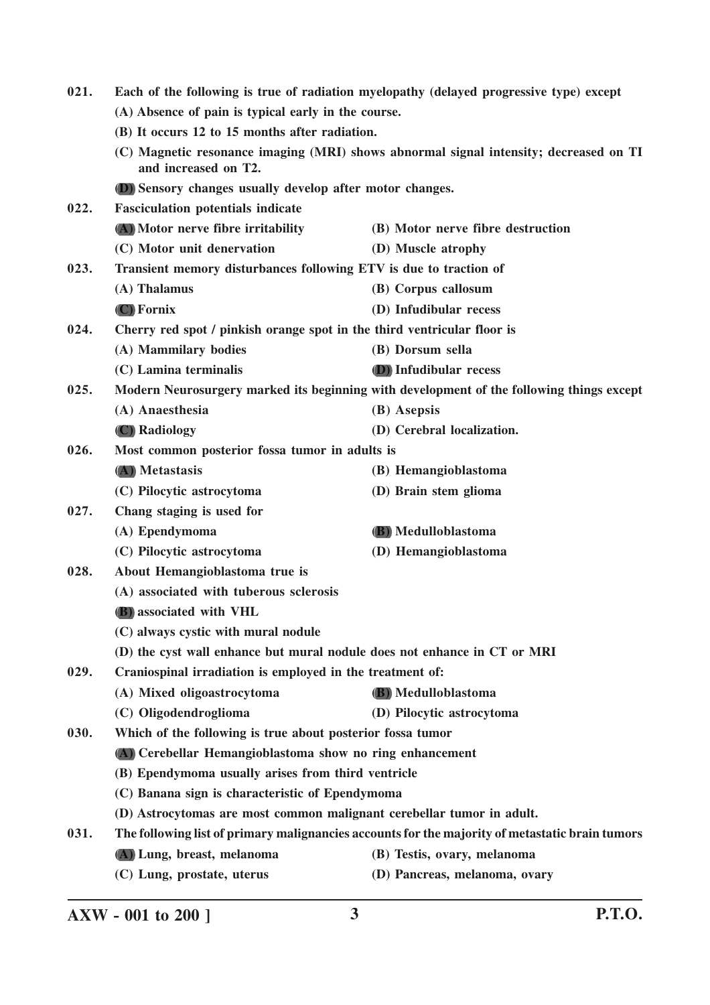| 021. | Each of the following is true of radiation myelopathy (delayed progressive type) except                                                                         |                                                                                                 |
|------|-----------------------------------------------------------------------------------------------------------------------------------------------------------------|-------------------------------------------------------------------------------------------------|
|      | (A) Absence of pain is typical early in the course.                                                                                                             |                                                                                                 |
|      | (B) It occurs 12 to 15 months after radiation.<br>(C) Magnetic resonance imaging (MRI) shows abnormal signal intensity; decreased on TI<br>and increased on T2. |                                                                                                 |
|      |                                                                                                                                                                 |                                                                                                 |
|      | (D) Sensory changes usually develop after motor changes.                                                                                                        |                                                                                                 |
| 022. | <b>Fasciculation potentials indicate</b>                                                                                                                        |                                                                                                 |
|      | (A) Motor nerve fibre irritability                                                                                                                              | (B) Motor nerve fibre destruction                                                               |
|      | (C) Motor unit denervation                                                                                                                                      | (D) Muscle atrophy                                                                              |
| 023. | Transient memory disturbances following ETV is due to traction of                                                                                               |                                                                                                 |
|      | (A) Thalamus                                                                                                                                                    | (B) Corpus callosum                                                                             |
|      | (C) Fornix                                                                                                                                                      | (D) Infudibular recess                                                                          |
| 024. | Cherry red spot / pinkish orange spot in the third ventricular floor is                                                                                         |                                                                                                 |
|      | (A) Mammilary bodies                                                                                                                                            | (B) Dorsum sella                                                                                |
|      | (C) Lamina terminalis                                                                                                                                           | (D) Infudibular recess                                                                          |
| 025. |                                                                                                                                                                 | Modern Neurosurgery marked its beginning with development of the following things except        |
|      | (A) Anaesthesia                                                                                                                                                 | (B) Asepsis                                                                                     |
|      | (C) Radiology                                                                                                                                                   | (D) Cerebral localization.                                                                      |
| 026. | Most common posterior fossa tumor in adults is                                                                                                                  |                                                                                                 |
|      | (A) Metastasis                                                                                                                                                  | (B) Hemangioblastoma                                                                            |
|      | (C) Pilocytic astrocytoma                                                                                                                                       | (D) Brain stem glioma                                                                           |
| 027. | Chang staging is used for                                                                                                                                       |                                                                                                 |
|      | (A) Ependymoma                                                                                                                                                  | (B) Medulloblastoma                                                                             |
|      | (C) Pilocytic astrocytoma                                                                                                                                       | (D) Hemangioblastoma                                                                            |
| 028. | About Hemangioblastoma true is                                                                                                                                  |                                                                                                 |
|      | (A) associated with tuberous sclerosis                                                                                                                          |                                                                                                 |
|      | <b>(B)</b> associated with VHL                                                                                                                                  |                                                                                                 |
|      | (C) always cystic with mural nodule                                                                                                                             |                                                                                                 |
|      | (D) the cyst wall enhance but mural nodule does not enhance in CT or MRI                                                                                        |                                                                                                 |
| 029. | Craniospinal irradiation is employed in the treatment of:                                                                                                       |                                                                                                 |
|      | (A) Mixed oligoastrocytoma                                                                                                                                      | (B) Medulloblastoma                                                                             |
|      | (C) Oligodendroglioma                                                                                                                                           | (D) Pilocytic astrocytoma                                                                       |
| 030. | Which of the following is true about posterior fossa tumor                                                                                                      |                                                                                                 |
|      | (A) Cerebellar Hemangioblastoma show no ring enhancement                                                                                                        |                                                                                                 |
|      | (B) Ependymoma usually arises from third ventricle                                                                                                              |                                                                                                 |
|      | (C) Banana sign is characteristic of Ependymoma                                                                                                                 |                                                                                                 |
|      | (D) Astrocytomas are most common malignant cerebellar tumor in adult.                                                                                           |                                                                                                 |
| 031. |                                                                                                                                                                 | The following list of primary malignancies accounts for the majority of metastatic brain tumors |
|      | (A) Lung, breast, melanoma                                                                                                                                      | (B) Testis, ovary, melanoma                                                                     |
|      | (C) Lung, prostate, uterus                                                                                                                                      | (D) Pancreas, melanoma, ovary                                                                   |

**AXW - 001 to 200 ] 3 P.T.O.**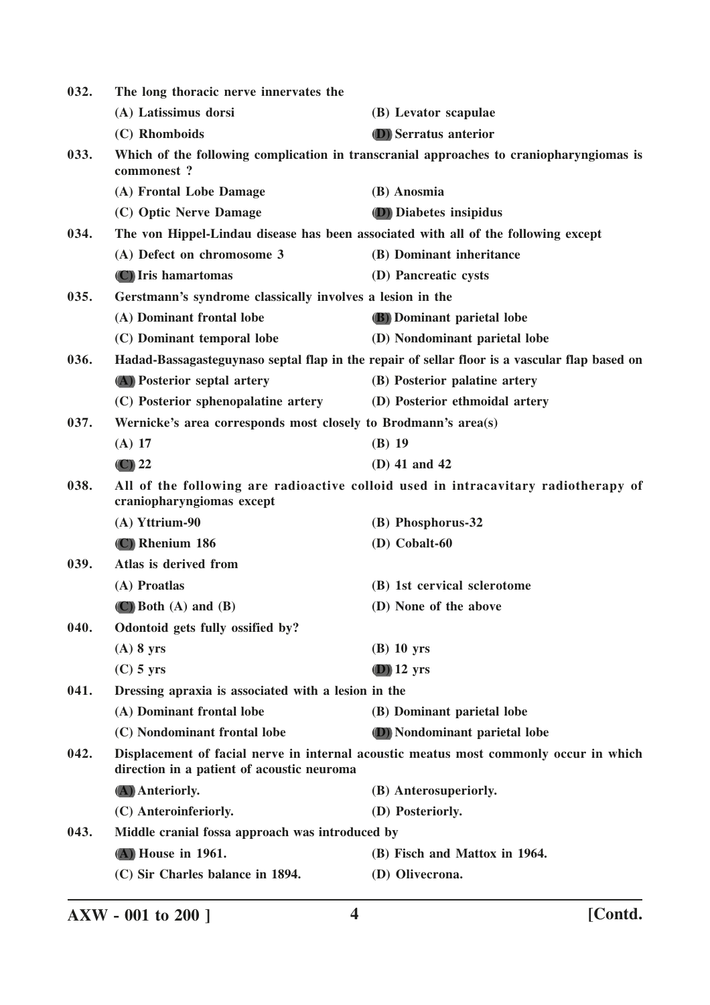| 032. | The long thoracic nerve innervates the                         |                                                                                               |
|------|----------------------------------------------------------------|-----------------------------------------------------------------------------------------------|
|      | (A) Latissimus dorsi                                           | (B) Levator scapulae                                                                          |
|      | (C) Rhomboids                                                  | <b>(D)</b> Serratus anterior                                                                  |
| 033. | commonest?                                                     | Which of the following complication in transcranial approaches to craniopharyngiomas is       |
|      | (A) Frontal Lobe Damage                                        | (B) Anosmia                                                                                   |
|      | (C) Optic Nerve Damage                                         | <b>D</b> ) Diabetes insipidus                                                                 |
| 034. |                                                                | The von Hippel-Lindau disease has been associated with all of the following except            |
|      | (A) Defect on chromosome 3                                     | (B) Dominant inheritance                                                                      |
|      | (C) Iris hamartomas                                            | (D) Pancreatic cysts                                                                          |
| 035. | Gerstmann's syndrome classically involves a lesion in the      |                                                                                               |
|      | (A) Dominant frontal lobe                                      | (B) Dominant parietal lobe                                                                    |
|      | (C) Dominant temporal lobe                                     | (D) Nondominant parietal lobe                                                                 |
| 036. |                                                                | Hadad-Bassagasteguynaso septal flap in the repair of sellar floor is a vascular flap based on |
|      | (A) Posterior septal artery                                    | (B) Posterior palatine artery                                                                 |
|      | (C) Posterior sphenopalatine artery                            | (D) Posterior ethmoidal artery                                                                |
| 037. | Wernicke's area corresponds most closely to Brodmann's area(s) |                                                                                               |
|      | $(A)$ 17                                                       | $(B)$ 19                                                                                      |
|      | $\left(\mathbf{C}\right)$ 22                                   | (D) 41 and 42                                                                                 |
| 038. | craniopharyngiomas except                                      | All of the following are radioactive colloid used in intracavitary radiotherapy of            |
|      | (A) Yttrium-90                                                 | (B) Phosphorus-32                                                                             |
|      | (C) Rhenium 186                                                | $(D)$ Cobalt-60                                                                               |
| 039. | Atlas is derived from                                          |                                                                                               |
|      | (A) Proatlas                                                   | (B) 1st cervical sclerotome                                                                   |
|      | $(C)$ Both $(A)$ and $(B)$                                     | (D) None of the above                                                                         |
| 040. | Odontoid gets fully ossified by?                               |                                                                                               |
|      | $(A)$ 8 yrs                                                    | $(B)$ 10 yrs                                                                                  |
|      | $(C)$ 5 yrs                                                    | $(D)$ 12 yrs                                                                                  |
| 041. | Dressing apraxia is associated with a lesion in the            |                                                                                               |
|      | (A) Dominant frontal lobe                                      | (B) Dominant parietal lobe                                                                    |
|      | (C) Nondominant frontal lobe                                   | (D) Nondominant parietal lobe                                                                 |
| 042. | direction in a patient of acoustic neuroma                     | Displacement of facial nerve in internal acoustic meatus most commonly occur in which         |
|      | (A) Anteriorly.                                                | (B) Anterosuperiorly.                                                                         |
|      | (C) Anteroinferiorly.                                          | (D) Posteriorly.                                                                              |
| 043. | Middle cranial fossa approach was introduced by                |                                                                                               |
|      | (A) House in 1961.                                             | (B) Fisch and Mattox in 1964.                                                                 |
|      | (C) Sir Charles balance in 1894.                               | (D) Olivecrona.                                                                               |
|      |                                                                |                                                                                               |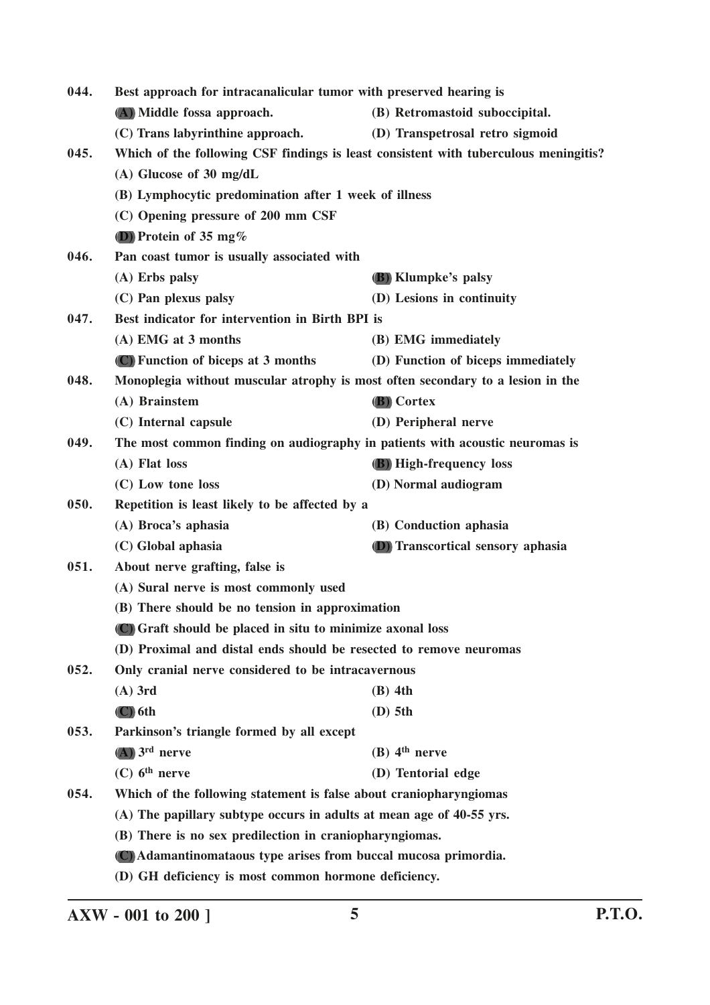| 044. | Best approach for intracanalicular tumor with preserved hearing is                   |                                    |
|------|--------------------------------------------------------------------------------------|------------------------------------|
|      | (A) Middle fossa approach.                                                           | (B) Retromastoid suboccipital.     |
|      | (C) Trans labyrinthine approach.                                                     | (D) Transpetrosal retro sigmoid    |
| 045. | Which of the following CSF findings is least consistent with tuberculous meningitis? |                                    |
|      | $(A)$ Glucose of 30 mg/dL                                                            |                                    |
|      | (B) Lymphocytic predomination after 1 week of illness                                |                                    |
|      | (C) Opening pressure of 200 mm CSF                                                   |                                    |
|      | (D) Protein of 35 mg $%$                                                             |                                    |
| 046. | Pan coast tumor is usually associated with                                           |                                    |
|      | (A) Erbs palsy                                                                       | (B) Klumpke's palsy                |
|      | (C) Pan plexus palsy                                                                 | (D) Lesions in continuity          |
| 047. | Best indicator for intervention in Birth BPI is                                      |                                    |
|      | (A) EMG at 3 months                                                                  | (B) EMG immediately                |
|      | (C) Function of biceps at 3 months                                                   | (D) Function of biceps immediately |
| 048. | Monoplegia without muscular atrophy is most often secondary to a lesion in the       |                                    |
|      | (A) Brainstem                                                                        | (B) Cortex                         |
|      | (C) Internal capsule                                                                 | (D) Peripheral nerve               |
| 049. | The most common finding on audiography in patients with acoustic neuromas is         |                                    |
|      | (A) Flat loss                                                                        | (B) High-frequency loss            |
|      | (C) Low tone loss                                                                    | (D) Normal audiogram               |
| 050. | Repetition is least likely to be affected by a                                       |                                    |
|      | (A) Broca's aphasia                                                                  | (B) Conduction aphasia             |
|      | (C) Global aphasia                                                                   | (D) Transcortical sensory aphasia  |
| 051. | About nerve grafting, false is                                                       |                                    |
|      | (A) Sural nerve is most commonly used                                                |                                    |
|      | (B) There should be no tension in approximation                                      |                                    |
|      | (C) Graft should be placed in situ to minimize axonal loss                           |                                    |
|      | (D) Proximal and distal ends should be resected to remove neuromas                   |                                    |
| 052. | Only cranial nerve considered to be intracavernous                                   |                                    |
|      | $(A)$ 3rd                                                                            | $(B)$ 4th                          |
|      | $(C)$ 6th                                                                            | $(D)$ 5th                          |
| 053. | Parkinson's triangle formed by all except                                            |                                    |
|      | $(A)$ 3 <sup>rd</sup> nerve                                                          | $(B)$ 4 <sup>th</sup> nerve        |
|      | $(C)$ 6 <sup>th</sup> nerve                                                          | (D) Tentorial edge                 |
| 054. | Which of the following statement is false about craniopharyngiomas                   |                                    |
|      | (A) The papillary subtype occurs in adults at mean age of 40-55 yrs.                 |                                    |
|      | (B) There is no sex predilection in craniopharyngiomas.                              |                                    |
|      | (C) Adamantinomataous type arises from buccal mucosa primordia.                      |                                    |
|      | (D) GH deficiency is most common hormone deficiency.                                 |                                    |

**AXW - 001 to 200 ] 5 P.T.O.**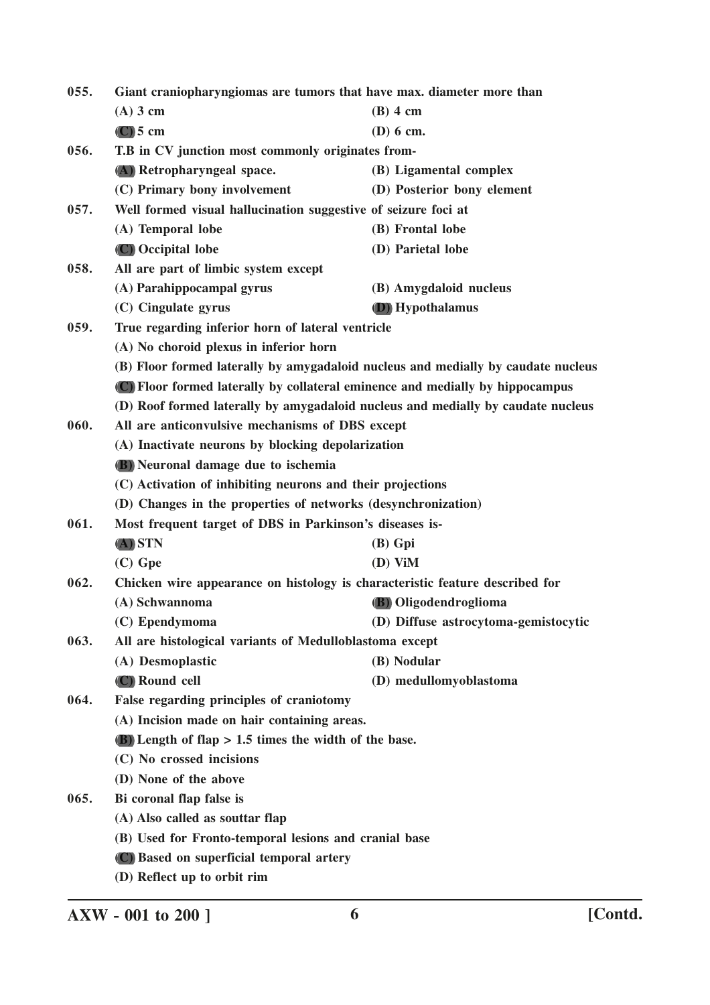| 055. | Giant craniopharyngiomas are tumors that have max. diameter more than |                                                                                   |  |
|------|-----------------------------------------------------------------------|-----------------------------------------------------------------------------------|--|
|      | $(A)$ 3 cm                                                            | $(B)$ 4 cm                                                                        |  |
|      | $(C)$ 5 cm                                                            | $(D)$ 6 cm.                                                                       |  |
| 056. | T.B in CV junction most commonly originates from-                     |                                                                                   |  |
|      | (A) Retropharyngeal space.                                            | (B) Ligamental complex                                                            |  |
|      | (C) Primary bony involvement                                          | (D) Posterior bony element                                                        |  |
| 057. | Well formed visual hallucination suggestive of seizure foci at        |                                                                                   |  |
|      | (A) Temporal lobe                                                     | (B) Frontal lobe                                                                  |  |
|      | (C) Occipital lobe                                                    | (D) Parietal lobe                                                                 |  |
| 058. | All are part of limbic system except                                  |                                                                                   |  |
|      | (A) Parahippocampal gyrus                                             | (B) Amygdaloid nucleus                                                            |  |
|      | (C) Cingulate gyrus                                                   | (D) Hypothalamus                                                                  |  |
| 059. | True regarding inferior horn of lateral ventricle                     |                                                                                   |  |
|      | (A) No choroid plexus in inferior horn                                |                                                                                   |  |
|      |                                                                       | (B) Floor formed laterally by amygadaloid nucleus and medially by caudate nucleus |  |
|      |                                                                       | (C) Floor formed laterally by collateral eminence and medially by hippocampus     |  |
|      |                                                                       | (D) Roof formed laterally by amygadaloid nucleus and medially by caudate nucleus  |  |
| 060. | All are anticonvulsive mechanisms of DBS except                       |                                                                                   |  |
|      | (A) Inactivate neurons by blocking depolarization                     |                                                                                   |  |
|      | (B) Neuronal damage due to ischemia                                   |                                                                                   |  |
|      | (C) Activation of inhibiting neurons and their projections            |                                                                                   |  |
|      |                                                                       | (D) Changes in the properties of networks (desynchronization)                     |  |
| 061. | Most frequent target of DBS in Parkinson's diseases is-               |                                                                                   |  |
|      | $(A)$ STN                                                             | $(B)$ Gpi                                                                         |  |
|      | $(C)$ Gpe                                                             | $(D)$ ViM                                                                         |  |
| 062. |                                                                       | Chicken wire appearance on histology is characteristic feature described for      |  |
|      | (A) Schwannoma                                                        | (B) Oligodendroglioma                                                             |  |
|      | (C) Ependymoma                                                        | (D) Diffuse astrocytoma-gemistocytic                                              |  |
| 063. | All are histological variants of Medulloblastoma except               |                                                                                   |  |
|      | (A) Desmoplastic                                                      | (B) Nodular                                                                       |  |
|      | (C) Round cell                                                        | (D) medullomyoblastoma                                                            |  |
| 064. | False regarding principles of craniotomy                              |                                                                                   |  |
|      | (A) Incision made on hair containing areas.                           |                                                                                   |  |
|      | $(B)$ Length of flap > 1.5 times the width of the base.               |                                                                                   |  |
|      | (C) No crossed incisions                                              |                                                                                   |  |
|      | (D) None of the above                                                 |                                                                                   |  |
| 065. | Bi coronal flap false is                                              |                                                                                   |  |
|      | (A) Also called as souttar flap                                       |                                                                                   |  |
|      | (B) Used for Fronto-temporal lesions and cranial base                 |                                                                                   |  |
|      | (C) Based on superficial temporal artery                              |                                                                                   |  |
|      | (D) Reflect up to orbit rim                                           |                                                                                   |  |

**AXW - 001 to 200 ] 6 [Contd.**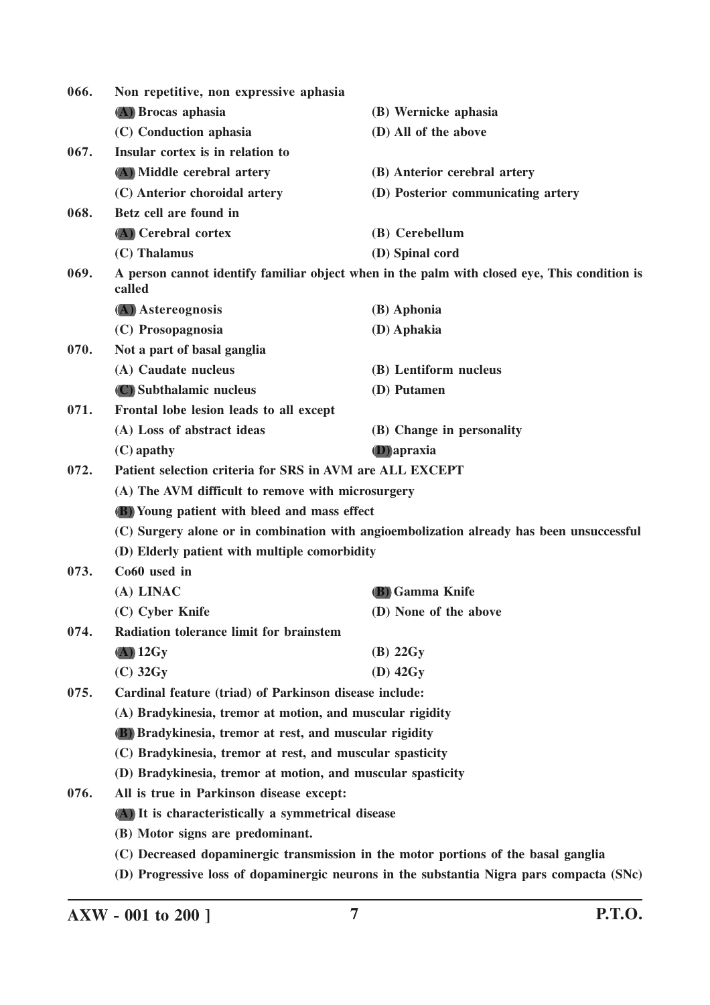| 066. | Non repetitive, non expressive aphasia                                                   |                                                                                              |
|------|------------------------------------------------------------------------------------------|----------------------------------------------------------------------------------------------|
|      | (A) Brocas aphasia                                                                       | (B) Wernicke aphasia                                                                         |
|      | (C) Conduction aphasia                                                                   | (D) All of the above                                                                         |
| 067. | Insular cortex is in relation to                                                         |                                                                                              |
|      | (A) Middle cerebral artery                                                               | (B) Anterior cerebral artery                                                                 |
|      | (C) Anterior choroidal artery                                                            | (D) Posterior communicating artery                                                           |
| 068. | Betz cell are found in                                                                   |                                                                                              |
|      | (A) Cerebral cortex                                                                      | (B) Cerebellum                                                                               |
|      | (C) Thalamus                                                                             | (D) Spinal cord                                                                              |
| 069. | called                                                                                   | A person cannot identify familiar object when in the palm with closed eye, This condition is |
|      | (A) Astereognosis                                                                        | (B) Aphonia                                                                                  |
|      | (C) Prosopagnosia                                                                        | (D) Aphakia                                                                                  |
| 070. | Not a part of basal ganglia                                                              |                                                                                              |
|      | (A) Caudate nucleus                                                                      | (B) Lentiform nucleus                                                                        |
|      | (C) Subthalamic nucleus                                                                  | (D) Putamen                                                                                  |
| 071. | Frontal lobe lesion leads to all except                                                  |                                                                                              |
|      | (A) Loss of abstract ideas                                                               | (B) Change in personality                                                                    |
|      | $(C)$ apathy                                                                             | <b>D</b> ) apraxia                                                                           |
| 072. | Patient selection criteria for SRS in AVM are ALL EXCEPT                                 |                                                                                              |
|      | (A) The AVM difficult to remove with microsurgery                                        |                                                                                              |
|      | <b>(B)</b> Young patient with bleed and mass effect                                      |                                                                                              |
|      | (C) Surgery alone or in combination with angioembolization already has been unsuccessful |                                                                                              |
|      | (D) Elderly patient with multiple comorbidity                                            |                                                                                              |
| 073. | Co60 used in                                                                             |                                                                                              |
|      | (A) LINAC                                                                                | (B) Gamma Knife                                                                              |
|      | (C) Cyber Knife                                                                          | (D) None of the above                                                                        |
| 074. | Radiation tolerance limit for brainstem                                                  |                                                                                              |
|      | $(A)$ 12Gy                                                                               | $(B)$ 22 $Gy$                                                                                |
|      | $(C)$ 32 $Gy$                                                                            | $(D)$ 42 $Gy$                                                                                |
| 075. | Cardinal feature (triad) of Parkinson disease include:                                   |                                                                                              |
|      | (A) Bradykinesia, tremor at motion, and muscular rigidity                                |                                                                                              |
|      | (B) Bradykinesia, tremor at rest, and muscular rigidity                                  |                                                                                              |
|      | (C) Bradykinesia, tremor at rest, and muscular spasticity                                |                                                                                              |
|      | (D) Bradykinesia, tremor at motion, and muscular spasticity                              |                                                                                              |
| 076. | All is true in Parkinson disease except:                                                 |                                                                                              |
|      | (A) It is characteristically a symmetrical disease                                       |                                                                                              |
|      | (B) Motor signs are predominant.                                                         |                                                                                              |
|      |                                                                                          | (C) Decreased dopaminergic transmission in the motor portions of the basal ganglia           |
|      |                                                                                          | (D) Progressive loss of dopaminergic neurons in the substantia Nigra pars compacta (SNc)     |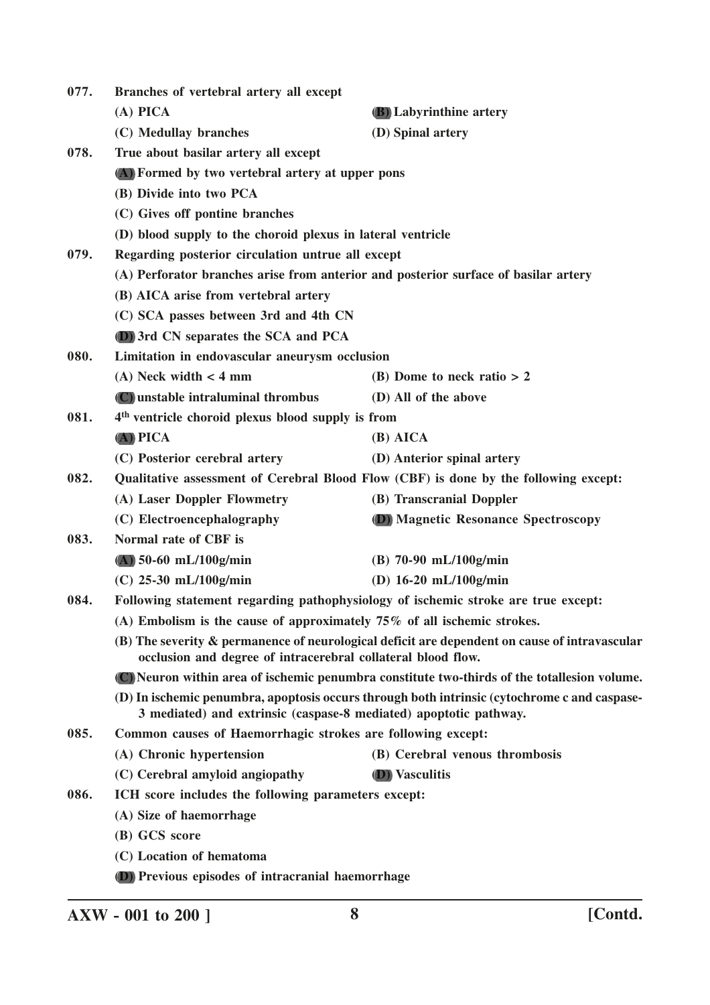| 077. | Branches of vertebral artery all except                                                                                                                       |                                                                                              |  |
|------|---------------------------------------------------------------------------------------------------------------------------------------------------------------|----------------------------------------------------------------------------------------------|--|
|      | $(A)$ PICA                                                                                                                                                    | (B) Labyrinthine artery                                                                      |  |
|      | (C) Medullay branches                                                                                                                                         | (D) Spinal artery                                                                            |  |
| 078. | True about basilar artery all except                                                                                                                          |                                                                                              |  |
|      | (A) Formed by two vertebral artery at upper pons                                                                                                              |                                                                                              |  |
|      | (B) Divide into two PCA                                                                                                                                       |                                                                                              |  |
|      | (C) Gives off pontine branches                                                                                                                                |                                                                                              |  |
|      | (D) blood supply to the choroid plexus in lateral ventricle                                                                                                   |                                                                                              |  |
| 079. | Regarding posterior circulation untrue all except                                                                                                             |                                                                                              |  |
|      |                                                                                                                                                               | (A) Perforator branches arise from anterior and posterior surface of basilar artery          |  |
|      | (B) AICA arise from vertebral artery                                                                                                                          |                                                                                              |  |
|      | (C) SCA passes between 3rd and 4th CN                                                                                                                         |                                                                                              |  |
|      | (D) 3rd CN separates the SCA and PCA                                                                                                                          |                                                                                              |  |
| 080. | Limitation in endovascular aneurysm occlusion                                                                                                                 |                                                                                              |  |
|      | $(A)$ Neck width $<$ 4 mm                                                                                                                                     | (B) Dome to neck ratio $> 2$                                                                 |  |
|      | (C) unstable intraluminal thrombus                                                                                                                            | (D) All of the above                                                                         |  |
| 081. | 4 <sup>th</sup> ventricle choroid plexus blood supply is from                                                                                                 |                                                                                              |  |
|      | $(A)$ PICA                                                                                                                                                    | $(B)$ AICA                                                                                   |  |
|      | (C) Posterior cerebral artery                                                                                                                                 | (D) Anterior spinal artery                                                                   |  |
| 082. |                                                                                                                                                               | Qualitative assessment of Cerebral Blood Flow (CBF) is done by the following except:         |  |
|      | (A) Laser Doppler Flowmetry                                                                                                                                   | (B) Transcranial Doppler                                                                     |  |
|      | (C) Electroencephalography                                                                                                                                    | (D) Magnetic Resonance Spectroscopy                                                          |  |
| 083. | Normal rate of CBF is                                                                                                                                         |                                                                                              |  |
|      | $(A)$ 50-60 mL/100g/min                                                                                                                                       | $(B)$ 70-90 mL/100g/min                                                                      |  |
|      | $(C)$ 25-30 mL/100g/min                                                                                                                                       | (D) $16-20$ mL/100g/min                                                                      |  |
| 084. |                                                                                                                                                               | Following statement regarding pathophysiology of ischemic stroke are true except:            |  |
|      | (A) Embolism is the cause of approximately $75\%$ of all ischemic strokes.                                                                                    |                                                                                              |  |
|      | (B) The severity & permanence of neurological deficit are dependent on cause of intravascular<br>occlusion and degree of intracerebral collateral blood flow. |                                                                                              |  |
|      | (C) Neuron within area of ischemic penumbra constitute two-thirds of the totallesion volume.                                                                  |                                                                                              |  |
|      | 3 mediated) and extrinsic (caspase-8 mediated) apoptotic pathway.                                                                                             | (D) In ischemic penumbra, apoptosis occurs through both intrinsic (cytochrome c and caspase- |  |
| 085. | Common causes of Haemorrhagic strokes are following except:                                                                                                   |                                                                                              |  |
|      | (A) Chronic hypertension                                                                                                                                      | (B) Cerebral venous thrombosis                                                               |  |
|      | (C) Cerebral amyloid angiopathy                                                                                                                               | <b>(D)</b> Vasculitis                                                                        |  |
| 086. | ICH score includes the following parameters except:                                                                                                           |                                                                                              |  |
|      | (A) Size of haemorrhage                                                                                                                                       |                                                                                              |  |
|      | (B) GCS score                                                                                                                                                 |                                                                                              |  |
|      | (C) Location of hematoma                                                                                                                                      |                                                                                              |  |
|      | (D) Previous episodes of intracranial haemorrhage                                                                                                             |                                                                                              |  |

**AXW - 001 to 200 ] 8 [Contd.**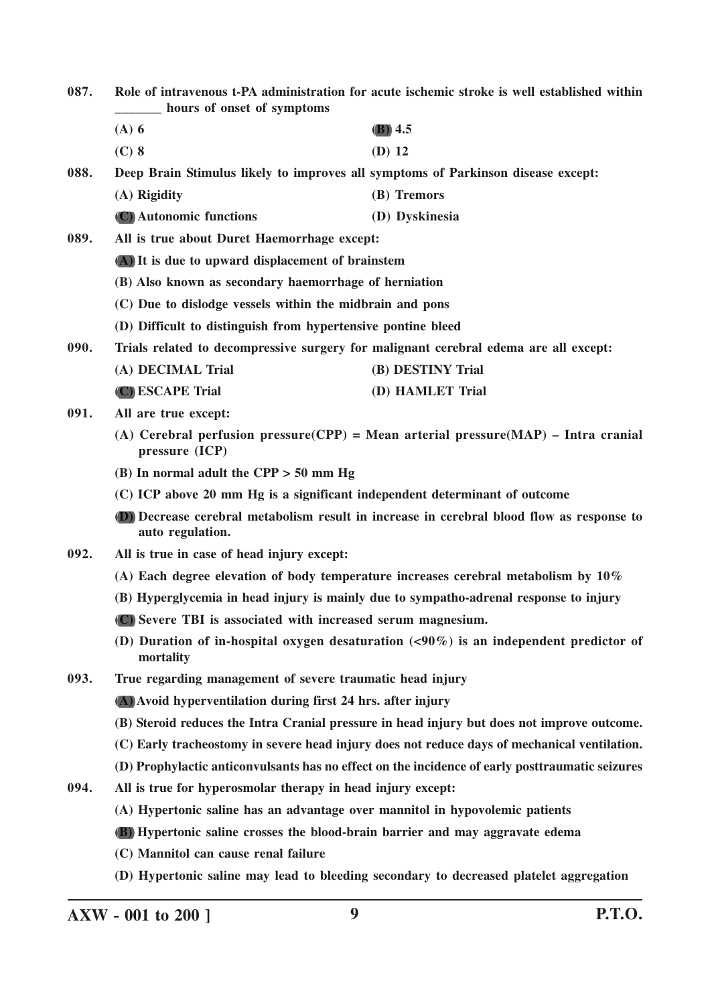- **087. Role of intravenous t-PA administration for acute ischemic stroke is well established within \_\_\_\_\_\_\_ hours of onset of symptoms**
	- **(A) 6 (B) 4.5**
	- **(C) 8 (D) 12**

**088. Deep Brain Stimulus likely to improves all symptoms of Parkinson disease except: (A) Rigidity (B) Tremors**

**(C) Autonomic functions (D) Dyskinesia**

**089. All is true about Duret Haemorrhage except: (A) It is due to upward displacement of brainstem**

- **(B) Also known as secondary haemorrhage of herniation**
- **(C) Due to dislodge vessels within the midbrain and pons**
- **(D) Difficult to distinguish from hypertensive pontine bleed**

**090. Trials related to decompressive surgery for malignant cerebral edema are all except:**

| (A) DECIMAL Trial | (B) DESTINY Trial |
|-------------------|-------------------|
| (C) ESCAPE Trial  | (D) HAMLET Trial  |

- **091. All are true except:**
	- **(A) Cerebral perfusion pressure(CPP) = Mean arterial pressure(MAP) Intra cranial pressure (ICP)**
	- **(B) In normal adult the CPP > 50 mm Hg**
	- **(C) ICP above 20 mm Hg is a significant independent determinant of outcome**
	- **(D) Decrease cerebral metabolism result in increase in cerebral blood flow as response to auto regulation.**
- **092. All is true in case of head injury except:**
	- **(A) Each degree elevation of body temperature increases cerebral metabolism by 10%**
	- **(B) Hyperglycemia in head injury is mainly due to sympatho-adrenal response to injury**
	- **(C) Severe TBI is associated with increased serum magnesium.**
	- **(D) Duration of in-hospital oxygen desaturation (<90%) is an independent predictor of mortality**
- **093. True regarding management of severe traumatic head injury**

**(A) Avoid hyperventilation during first 24 hrs. after injury**

- **(B) Steroid reduces the Intra Cranial pressure in head injury but does not improve outcome.**
- **(C) Early tracheostomy in severe head injury does not reduce days of mechanical ventilation.**
- **(D) Prophylactic anticonvulsants has no effect on the incidence of early posttraumatic seizures**
- **094. All is true for hyperosmolar therapy in head injury except:**
	- **(A) Hypertonic saline has an advantage over mannitol in hypovolemic patients**
	- **(B) Hypertonic saline crosses the blood-brain barrier and may aggravate edema**
	- **(C) Mannitol can cause renal failure**
	- **(D) Hypertonic saline may lead to bleeding secondary to decreased platelet aggregation**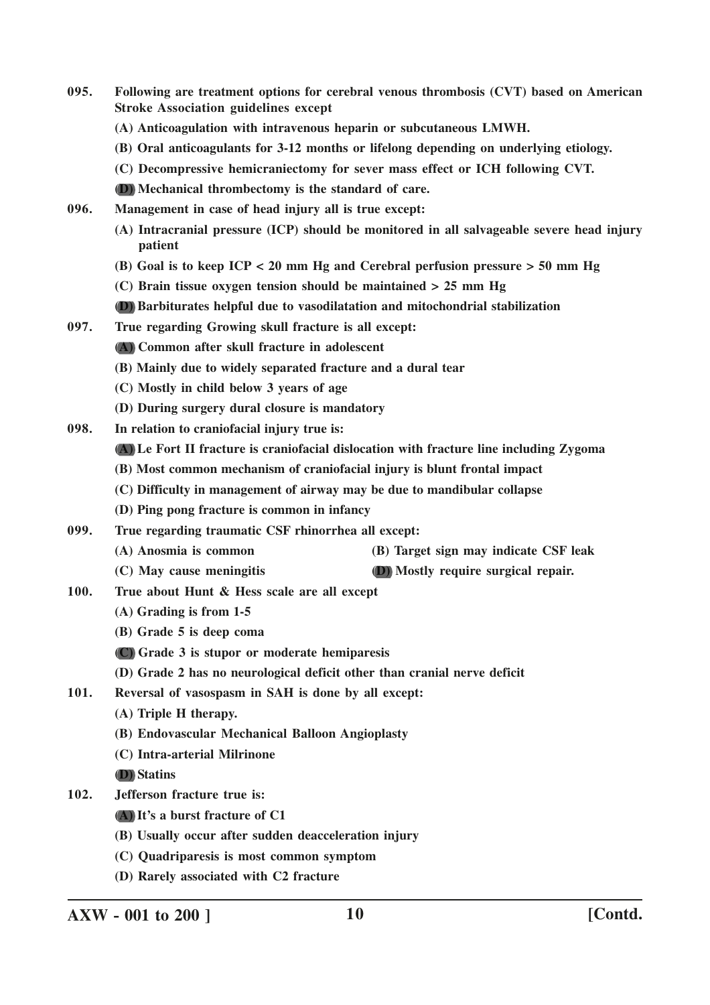- **095. Following are treatment options for cerebral venous thrombosis (CVT) based on American Stroke Association guidelines except**
	- **(A) Anticoagulation with intravenous heparin or subcutaneous LMWH.**
	- **(B) Oral anticoagulants for 3-12 months or lifelong depending on underlying etiology.**
	- **(C) Decompressive hemicraniectomy for sever mass effect or ICH following CVT.**
	- **(D) Mechanical thrombectomy is the standard of care.**
- **096. Management in case of head injury all is true except:**
	- **(A) Intracranial pressure (ICP) should be monitored in all salvageable severe head injury patient**
	- **(B) Goal is to keep ICP < 20 mm Hg and Cerebral perfusion pressure > 50 mm Hg**
	- **(C) Brain tissue oxygen tension should be maintained > 25 mm Hg**
	- **(D) Barbiturates helpful due to vasodilatation and mitochondrial stabilization**
- **097. True regarding Growing skull fracture is all except:**
	- **(A) Common after skull fracture in adolescent**
	- **(B) Mainly due to widely separated fracture and a dural tear**
	- **(C) Mostly in child below 3 years of age**
	- **(D) During surgery dural closure is mandatory**
- **098. In relation to craniofacial injury true is:**
	- **(A) Le Fort II fracture is craniofacial dislocation with fracture line including Zygoma**
	- **(B) Most common mechanism of craniofacial injury is blunt frontal impact**
	- **(C) Difficulty in management of airway may be due to mandibular collapse**
	- **(D) Ping pong fracture is common in infancy**
- **099. True regarding traumatic CSF rhinorrhea all except:**
	- **(A) Anosmia is common (B) Target sign may indicate CSF leak**
	- **(C) May cause meningitis (D) Mostly require surgical repair.**
- **100. True about Hunt & Hess scale are all except**
	- **(A) Grading is from 1-5**
	- **(B) Grade 5 is deep coma**
	- **(C) Grade 3 is stupor or moderate hemiparesis**
	- **(D) Grade 2 has no neurological deficit other than cranial nerve deficit**
- **101. Reversal of vasospasm in SAH is done by all except:**
	- **(A) Triple H therapy.**
	- **(B) Endovascular Mechanical Balloon Angioplasty**
	- **(C) Intra-arterial Milrinone**

**(D) Statins**

- **102. Jefferson fracture true is:**
	- **(A) It's a burst fracture of C1**
	- **(B) Usually occur after sudden deacceleration injury**
	- **(C) Quadriparesis is most common symptom**
	- **(D) Rarely associated with C2 fracture**

**AXW - 001 to 200 ] 10 [Contd.**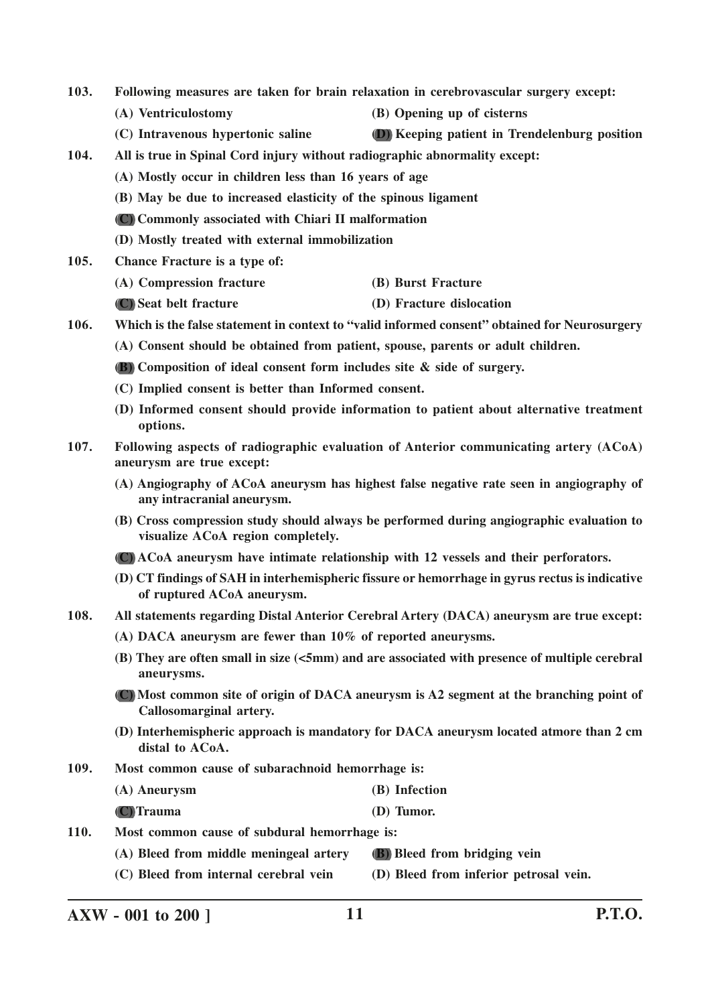- **103. Following measures are taken for brain relaxation in cerebrovascular surgery except:**
	- **(A) Ventriculostomy (B) Opening up of cisterns**
	- **(C) Intravenous hypertonic saline (D) Keeping patient in Trendelenburg position**
- **104. All is true in Spinal Cord injury without radiographic abnormality except:**
	- **(A) Mostly occur in children less than 16 years of age**
	- **(B) May be due to increased elasticity of the spinous ligament**
	- **(C) Commonly associated with Chiari II malformation**
	- **(D) Mostly treated with external immobilization**
- **105. Chance Fracture is a type of:**
	- **(A) Compression fracture (B) Burst Fracture**
	- **(C) Seat belt fracture (D) Fracture dislocation**
- **106. Which is the false statement in context to "valid informed consent" obtained for Neurosurgery**
	- **(A) Consent should be obtained from patient, spouse, parents or adult children.**
	- **(B) Composition of ideal consent form includes site & side of surgery.**
	- **(C) Implied consent is better than Informed consent.**
	- **(D) Informed consent should provide information to patient about alternative treatment options.**
- **107. Following aspects of radiographic evaluation of Anterior communicating artery (ACoA) aneurysm are true except:**
	- **(A) Angiography of ACoA aneurysm has highest false negative rate seen in angiography of any intracranial aneurysm.**
	- **(B) Cross compression study should always be performed during angiographic evaluation to visualize ACoA region completely.**
	- **(C) ACoA aneurysm have intimate relationship with 12 vessels and their perforators.**
	- **(D) CT findings of SAH in interhemispheric fissure or hemorrhage in gyrus rectus is indicative of ruptured ACoA aneurysm.**
- **108. All statements regarding Distal Anterior Cerebral Artery (DACA) aneurysm are true except:**
	- **(A) DACA aneurysm are fewer than 10% of reported aneurysms.**
	- **(B) They are often small in size (<5mm) and are associated with presence of multiple cerebral aneurysms.**
	- **(C) Most common site of origin of DACA aneurysm is A2 segment at the branching point of Callosomarginal artery.**
	- **(D) Interhemispheric approach is mandatory for DACA aneurysm located atmore than 2 cm distal to ACoA.**
- **109. Most common cause of subarachnoid hemorrhage is:**
	- **(A) Aneurysm (B) Infection**
	- **(C) Trauma (D) Tumor.**
- **110. Most common cause of subdural hemorrhage is:**
	- **(A) Bleed from middle meningeal artery (B) Bleed from bridging vein**
	- **(C) Bleed from internal cerebral vein (D) Bleed from inferior petrosal vein.**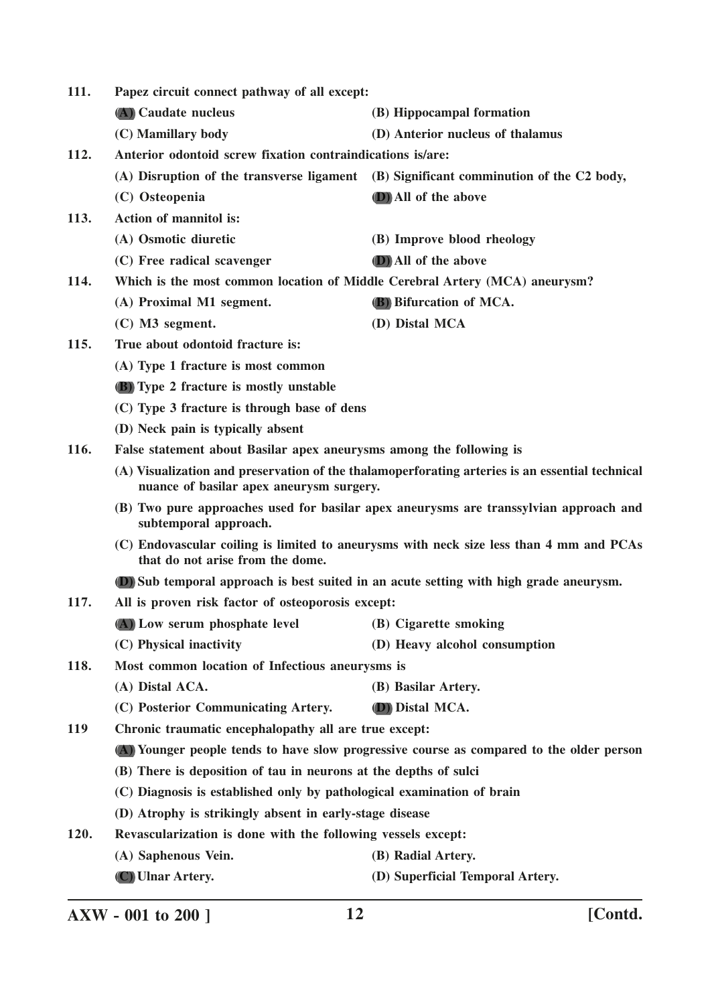**111. Papez circuit connect pathway of all except: (A) Caudate nucleus (B) Hippocampal formation (C) Mamillary body (D) Anterior nucleus of thalamus 112. Anterior odontoid screw fixation contraindications is/are: (A) Disruption of the transverse ligament (B) Significant comminution of the C2 body, (C) Osteopenia (D) All of the above 113. Action of mannitol is: (A) Osmotic diuretic (B) Improve blood rheology (C) Free radical scavenger (D) All of the above 114. Which is the most common location of Middle Cerebral Artery (MCA) aneurysm? (A) Proximal M1 segment. (B) Bifurcation of MCA. (C) M3 segment. (D) Distal MCA 115. True about odontoid fracture is: (A) Type 1 fracture is most common (B) Type 2 fracture is mostly unstable (C) Type 3 fracture is through base of dens (D) Neck pain is typically absent 116. False statement about Basilar apex aneurysms among the following is (A) Visualization and preservation of the thalamoperforating arteries is an essential technical nuance of basilar apex aneurysm surgery. (B) Two pure approaches used for basilar apex aneurysms are transsylvian approach and subtemporal approach. (C) Endovascular coiling is limited to aneurysms with neck size less than 4 mm and PCAs that do not arise from the dome. (D) Sub temporal approach is best suited in an acute setting with high grade aneurysm. 117. All is proven risk factor of osteoporosis except: (A) Low serum phosphate level (B) Cigarette smoking (C) Physical inactivity (D) Heavy alcohol consumption 118. Most common location of Infectious aneurysms is (A) Distal ACA. (B) Basilar Artery. (C) Posterior Communicating Artery. (D) Distal MCA. 119 Chronic traumatic encephalopathy all are true except: (A) Younger people tends to have slow progressive course as compared to the older person (B) There is deposition of tau in neurons at the depths of sulci (C) Diagnosis is established only by pathological examination of brain (D) Atrophy is strikingly absent in early-stage disease 120. Revascularization is done with the following vessels except: (A) Saphenous Vein. (B) Radial Artery. (C) Ulnar Artery. (D) Superficial Temporal Artery.**

**AXW - 001 to 200 ] 12 [Contd.**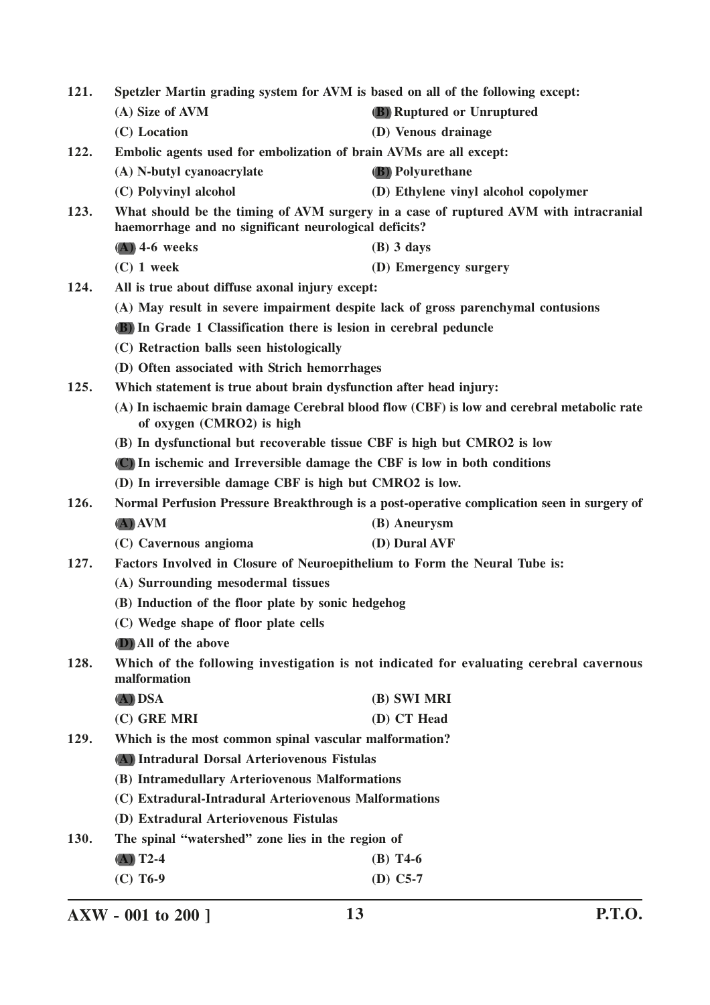| Spetzler Martin grading system for AVM is based on all of the following except:<br>121. |                                                                                                                                               |                                                                                            |  |  |
|-----------------------------------------------------------------------------------------|-----------------------------------------------------------------------------------------------------------------------------------------------|--------------------------------------------------------------------------------------------|--|--|
|                                                                                         | (A) Size of AVM                                                                                                                               | (B) Ruptured or Unruptured                                                                 |  |  |
|                                                                                         | (C) Location                                                                                                                                  | (D) Venous drainage                                                                        |  |  |
| 122.                                                                                    | Embolic agents used for embolization of brain AVMs are all except:                                                                            |                                                                                            |  |  |
|                                                                                         | (A) N-butyl cyanoacrylate                                                                                                                     | <b>(B)</b> Polyurethane                                                                    |  |  |
|                                                                                         | (C) Polyvinyl alcohol                                                                                                                         | (D) Ethylene vinyl alcohol copolymer                                                       |  |  |
| 123.                                                                                    | What should be the timing of AVM surgery in a case of ruptured AVM with intracranial<br>haemorrhage and no significant neurological deficits? |                                                                                            |  |  |
|                                                                                         | $(A)$ 4-6 weeks                                                                                                                               | $(B)$ 3 days                                                                               |  |  |
|                                                                                         | $(C)$ 1 week                                                                                                                                  | (D) Emergency surgery                                                                      |  |  |
| 124.                                                                                    |                                                                                                                                               | All is true about diffuse axonal injury except:                                            |  |  |
|                                                                                         | (A) May result in severe impairment despite lack of gross parenchymal contusions                                                              |                                                                                            |  |  |
|                                                                                         | <b>(B)</b> In Grade 1 Classification there is lesion in cerebral peduncle                                                                     |                                                                                            |  |  |
|                                                                                         | (C) Retraction balls seen histologically                                                                                                      |                                                                                            |  |  |
|                                                                                         | (D) Often associated with Strich hemorrhages                                                                                                  |                                                                                            |  |  |
| 125.                                                                                    | Which statement is true about brain dysfunction after head injury:                                                                            |                                                                                            |  |  |
|                                                                                         | of oxygen (CMRO2) is high                                                                                                                     | (A) In ischaemic brain damage Cerebral blood flow (CBF) is low and cerebral metabolic rate |  |  |
|                                                                                         | (B) In dysfunctional but recoverable tissue CBF is high but CMRO2 is low                                                                      |                                                                                            |  |  |
|                                                                                         | (C) In ischemic and Irreversible damage the CBF is low in both conditions                                                                     |                                                                                            |  |  |
|                                                                                         | (D) In irreversible damage CBF is high but CMRO2 is low.                                                                                      |                                                                                            |  |  |
| 126.                                                                                    | Normal Perfusion Pressure Breakthrough is a post-operative complication seen in surgery of                                                    |                                                                                            |  |  |
|                                                                                         | $(A)$ AVM                                                                                                                                     | (B) Aneurysm                                                                               |  |  |
|                                                                                         | (C) Cavernous angioma                                                                                                                         | (D) Dural AVF                                                                              |  |  |
| 127.                                                                                    | Factors Involved in Closure of Neuroepithelium to Form the Neural Tube is:                                                                    |                                                                                            |  |  |
|                                                                                         | (A) Surrounding mesodermal tissues                                                                                                            |                                                                                            |  |  |
|                                                                                         | (B) Induction of the floor plate by sonic hedgehog                                                                                            |                                                                                            |  |  |
|                                                                                         | (C) Wedge shape of floor plate cells                                                                                                          |                                                                                            |  |  |
|                                                                                         | (D) All of the above                                                                                                                          |                                                                                            |  |  |
| 128.                                                                                    | Which of the following investigation is not indicated for evaluating cerebral cavernous<br>malformation                                       |                                                                                            |  |  |
|                                                                                         | (A) DSA                                                                                                                                       | (B) SWI MRI                                                                                |  |  |
|                                                                                         | (C) GRE MRI                                                                                                                                   | (D) CT Head                                                                                |  |  |
| 129.                                                                                    | Which is the most common spinal vascular malformation?                                                                                        |                                                                                            |  |  |
|                                                                                         | (A) Intradural Dorsal Arteriovenous Fistulas                                                                                                  |                                                                                            |  |  |
|                                                                                         | (B) Intramedullary Arteriovenous Malformations                                                                                                |                                                                                            |  |  |
|                                                                                         | (C) Extradural-Intradural Arteriovenous Malformations                                                                                         |                                                                                            |  |  |
|                                                                                         | (D) Extradural Arteriovenous Fistulas                                                                                                         |                                                                                            |  |  |
| 130.                                                                                    | The spinal "watershed" zone lies in the region of                                                                                             |                                                                                            |  |  |
|                                                                                         | $(A)$ T2-4                                                                                                                                    | $(B)$ T4-6                                                                                 |  |  |
|                                                                                         | $(C)$ T6-9                                                                                                                                    | $(D)$ C5-7                                                                                 |  |  |

**AXW - 001 to 200 ] 13 P.T.O.**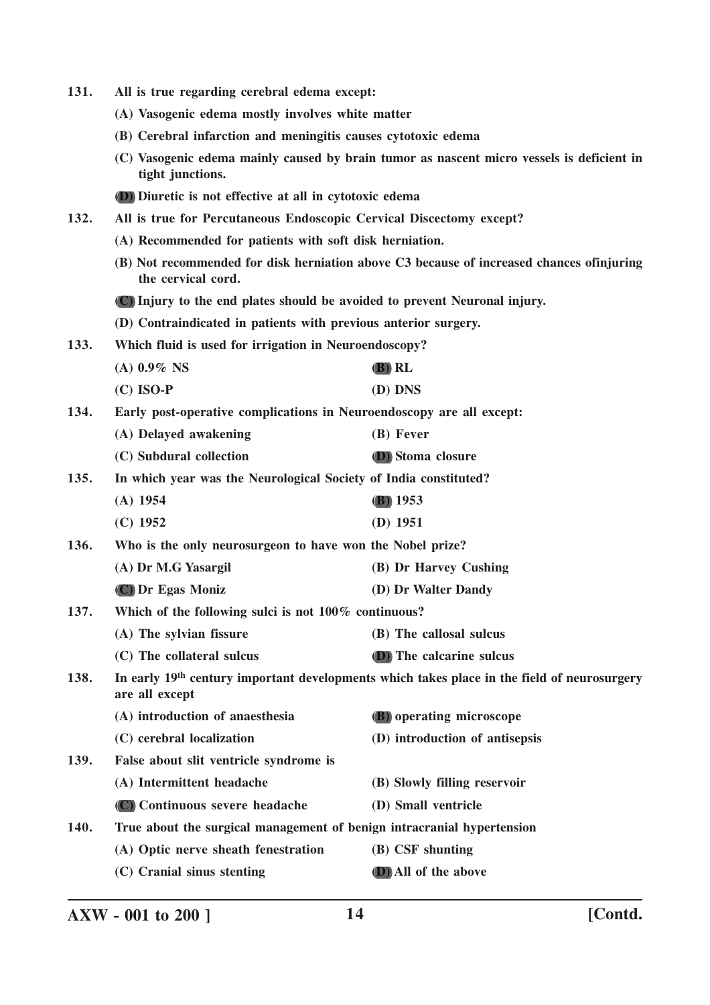| 131. | All is true regarding cerebral edema except:                               |                                                                                                         |
|------|----------------------------------------------------------------------------|---------------------------------------------------------------------------------------------------------|
|      | (A) Vasogenic edema mostly involves white matter                           |                                                                                                         |
|      | (B) Cerebral infarction and meningitis causes cytotoxic edema              |                                                                                                         |
|      | tight junctions.                                                           | (C) Vasogenic edema mainly caused by brain tumor as nascent micro vessels is deficient in               |
|      | (D) Diuretic is not effective at all in cytotoxic edema                    |                                                                                                         |
| 132. | All is true for Percutaneous Endoscopic Cervical Discectomy except?        |                                                                                                         |
|      | (A) Recommended for patients with soft disk herniation.                    |                                                                                                         |
|      | the cervical cord.                                                         | (B) Not recommended for disk herniation above C3 because of increased chances of injuring               |
|      | (C) Injury to the end plates should be avoided to prevent Neuronal injury. |                                                                                                         |
|      | (D) Contraindicated in patients with previous anterior surgery.            |                                                                                                         |
| 133. | Which fluid is used for irrigation in Neuroendoscopy?                      |                                                                                                         |
|      | $(A)$ 0.9% NS                                                              | (B) RL                                                                                                  |
|      | $(C)$ ISO-P                                                                | (D) DNS                                                                                                 |
| 134. | Early post-operative complications in Neuroendoscopy are all except:       |                                                                                                         |
|      | (A) Delayed awakening                                                      | (B) Fever                                                                                               |
|      | (C) Subdural collection                                                    | (D) Stoma closure                                                                                       |
| 135. | In which year was the Neurological Society of India constituted?           |                                                                                                         |
|      | $(A)$ 1954                                                                 | <b>(B)</b> 1953                                                                                         |
|      | $(C)$ 1952                                                                 | $(D)$ 1951                                                                                              |
| 136. | Who is the only neurosurgeon to have won the Nobel prize?                  |                                                                                                         |
|      | (A) Dr M.G Yasargil                                                        | (B) Dr Harvey Cushing                                                                                   |
|      | (C) Dr Egas Moniz                                                          | (D) Dr Walter Dandy                                                                                     |
| 137. | Which of the following sulci is not 100% continuous?                       |                                                                                                         |
|      | (A) The sylvian fissure                                                    | (B) The callosal sulcus                                                                                 |
|      | (C) The collateral sulcus                                                  | <b>(D)</b> The calcarine sulcus                                                                         |
| 138. | are all except                                                             | In early 19 <sup>th</sup> century important developments which takes place in the field of neurosurgery |
|      | (A) introduction of anaesthesia                                            | (B) operating microscope                                                                                |
|      | (C) cerebral localization                                                  | (D) introduction of antisepsis                                                                          |
| 139. | False about slit ventricle syndrome is                                     |                                                                                                         |
|      | (A) Intermittent headache                                                  | (B) Slowly filling reservoir                                                                            |
|      | (C) Continuous severe headache                                             | (D) Small ventricle                                                                                     |
| 140. | True about the surgical management of benign intracranial hypertension     |                                                                                                         |
|      | (A) Optic nerve sheath fenestration                                        | (B) CSF shunting                                                                                        |
|      | (C) Cranial sinus stenting                                                 | (D) All of the above                                                                                    |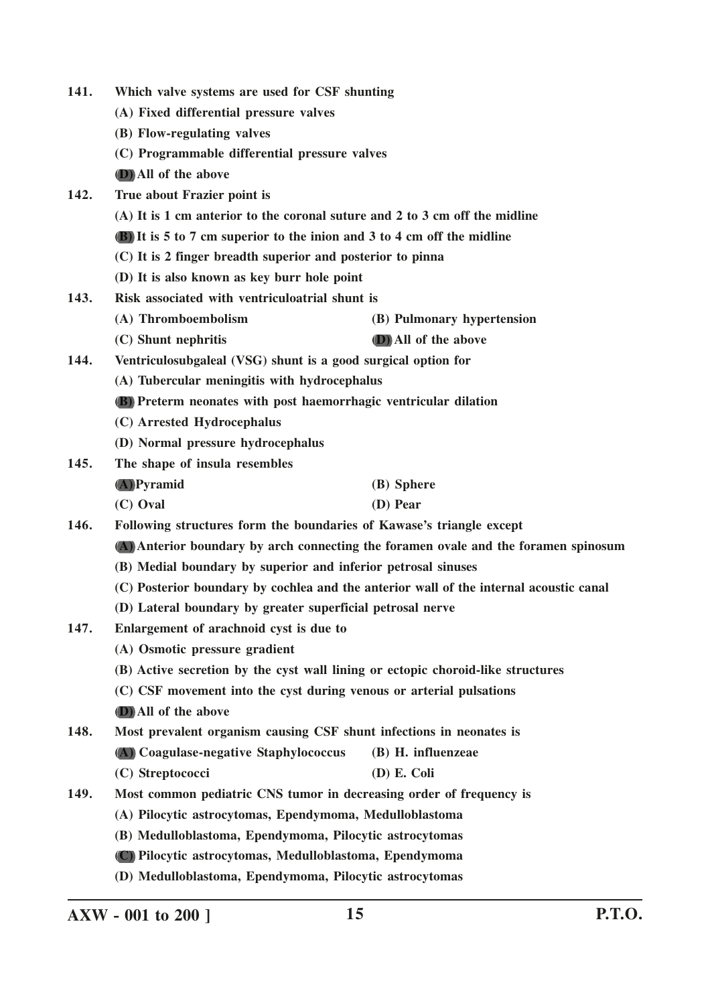| 141.                                                                                                                                                 | Which valve systems are used for CSF shunting                                          |                                                                             |  |
|------------------------------------------------------------------------------------------------------------------------------------------------------|----------------------------------------------------------------------------------------|-----------------------------------------------------------------------------|--|
|                                                                                                                                                      | (A) Fixed differential pressure valves                                                 |                                                                             |  |
|                                                                                                                                                      | (B) Flow-regulating valves                                                             |                                                                             |  |
|                                                                                                                                                      | (C) Programmable differential pressure valves                                          |                                                                             |  |
|                                                                                                                                                      | (D) All of the above                                                                   |                                                                             |  |
| 142.                                                                                                                                                 | True about Frazier point is                                                            |                                                                             |  |
|                                                                                                                                                      |                                                                                        | (A) It is 1 cm anterior to the coronal suture and 2 to 3 cm off the midline |  |
|                                                                                                                                                      | <b>(B)</b> It is 5 to 7 cm superior to the inion and 3 to 4 cm off the midline         |                                                                             |  |
|                                                                                                                                                      | (C) It is 2 finger breadth superior and posterior to pinna                             |                                                                             |  |
|                                                                                                                                                      | (D) It is also known as key burr hole point                                            |                                                                             |  |
| 143.                                                                                                                                                 | Risk associated with ventriculoatrial shunt is                                         |                                                                             |  |
|                                                                                                                                                      | (A) Thromboembolism                                                                    | (B) Pulmonary hypertension                                                  |  |
|                                                                                                                                                      | (C) Shunt nephritis                                                                    | <b>D</b> ) All of the above                                                 |  |
| 144.                                                                                                                                                 | Ventriculosubgaleal (VSG) shunt is a good surgical option for                          |                                                                             |  |
|                                                                                                                                                      | (A) Tubercular meningitis with hydrocephalus                                           |                                                                             |  |
|                                                                                                                                                      | <b>(B)</b> Preterm neonates with post haemorrhagic ventricular dilation                |                                                                             |  |
|                                                                                                                                                      | (C) Arrested Hydrocephalus                                                             |                                                                             |  |
| (D) Normal pressure hydrocephalus                                                                                                                    |                                                                                        |                                                                             |  |
| 145.                                                                                                                                                 | The shape of insula resembles                                                          |                                                                             |  |
|                                                                                                                                                      | $(A)$ Pyramid                                                                          | (B) Sphere                                                                  |  |
|                                                                                                                                                      | (C) Oval                                                                               | (D) Pear                                                                    |  |
| 146.                                                                                                                                                 | Following structures form the boundaries of Kawase's triangle except                   |                                                                             |  |
| (A) Anterior boundary by arch connecting the foramen ovale and the foramen spinosum<br>(B) Medial boundary by superior and inferior petrosal sinuses |                                                                                        |                                                                             |  |
|                                                                                                                                                      |                                                                                        |                                                                             |  |
|                                                                                                                                                      | (C) Posterior boundary by cochlea and the anterior wall of the internal acoustic canal |                                                                             |  |
|                                                                                                                                                      | (D) Lateral boundary by greater superficial petrosal nerve                             |                                                                             |  |
| 147.                                                                                                                                                 | Enlargement of arachnoid cyst is due to                                                |                                                                             |  |
|                                                                                                                                                      | (A) Osmotic pressure gradient                                                          |                                                                             |  |
|                                                                                                                                                      | (B) Active secretion by the cyst wall lining or ectopic choroid-like structures        |                                                                             |  |
|                                                                                                                                                      | (C) CSF movement into the cyst during venous or arterial pulsations                    |                                                                             |  |
|                                                                                                                                                      | (D) All of the above                                                                   |                                                                             |  |
| 148.                                                                                                                                                 | Most prevalent organism causing CSF shunt infections in neonates is                    |                                                                             |  |
|                                                                                                                                                      | (A) Coagulase-negative Staphylococcus                                                  | (B) H. influenzeae                                                          |  |
|                                                                                                                                                      | (C) Streptococci                                                                       | $(D)$ E. Coli                                                               |  |
| 149.                                                                                                                                                 | Most common pediatric CNS tumor in decreasing order of frequency is                    |                                                                             |  |
|                                                                                                                                                      | (A) Pilocytic astrocytomas, Ependymoma, Medulloblastoma                                |                                                                             |  |
|                                                                                                                                                      | (B) Medulloblastoma, Ependymoma, Pilocytic astrocytomas                                |                                                                             |  |
|                                                                                                                                                      |                                                                                        | (C) Pilocytic astrocytomas, Medulloblastoma, Ependymoma                     |  |
|                                                                                                                                                      | (D) Medulloblastoma, Ependymoma, Pilocytic astrocytomas                                |                                                                             |  |

**AXW - 001 to 200 ] 15 P.T.O.**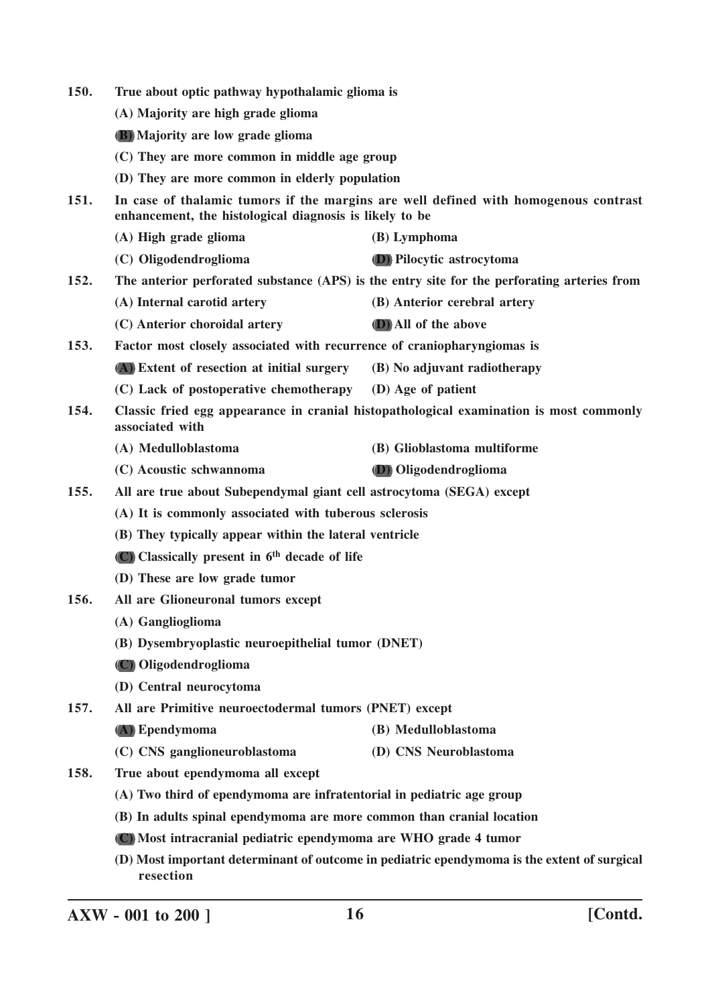| 150.                                                             | True about optic pathway hypothalamic glioma is                                                                                                |                                                                                        |  |
|------------------------------------------------------------------|------------------------------------------------------------------------------------------------------------------------------------------------|----------------------------------------------------------------------------------------|--|
| (A) Majority are high grade glioma                               |                                                                                                                                                |                                                                                        |  |
|                                                                  | (B) Majority are low grade glioma                                                                                                              |                                                                                        |  |
|                                                                  | (C) They are more common in middle age group                                                                                                   |                                                                                        |  |
|                                                                  | (D) They are more common in elderly population                                                                                                 |                                                                                        |  |
| 151.                                                             | In case of thalamic tumors if the margins are well defined with homogenous contrast<br>enhancement, the histological diagnosis is likely to be |                                                                                        |  |
|                                                                  | (A) High grade glioma                                                                                                                          | (B) Lymphoma                                                                           |  |
|                                                                  | (C) Oligodendroglioma                                                                                                                          | <b>D</b> ) Pilocytic astrocytoma                                                       |  |
| 152.                                                             | The anterior perforated substance (APS) is the entry site for the perforating arteries from                                                    |                                                                                        |  |
|                                                                  | (A) Internal carotid artery                                                                                                                    | (B) Anterior cerebral artery                                                           |  |
|                                                                  | (C) Anterior choroidal artery                                                                                                                  | (D) All of the above                                                                   |  |
| 153.                                                             | Factor most closely associated with recurrence of craniopharyngiomas is                                                                        |                                                                                        |  |
|                                                                  | (A) Extent of resection at initial surgery                                                                                                     | (B) No adjuvant radiotherapy                                                           |  |
|                                                                  | (C) Lack of postoperative chemotherapy (D) Age of patient                                                                                      |                                                                                        |  |
| 154.                                                             | associated with                                                                                                                                | Classic fried egg appearance in cranial histopathological examination is most commonly |  |
|                                                                  | (A) Medulloblastoma                                                                                                                            | (B) Glioblastoma multiforme                                                            |  |
|                                                                  | (C) Acoustic schwannoma                                                                                                                        | (D) Oligodendroglioma                                                                  |  |
| 155.                                                             | All are true about Subependymal giant cell astrocytoma (SEGA) except                                                                           |                                                                                        |  |
| (A) It is commonly associated with tuberous sclerosis            |                                                                                                                                                |                                                                                        |  |
|                                                                  | (B) They typically appear within the lateral ventricle                                                                                         |                                                                                        |  |
|                                                                  | (C) Classically present in 6 <sup>th</sup> decade of life                                                                                      |                                                                                        |  |
|                                                                  | (D) These are low grade tumor                                                                                                                  |                                                                                        |  |
| 156.                                                             | All are Glioneuronal tumors except                                                                                                             |                                                                                        |  |
|                                                                  | (A) Ganglioglioma                                                                                                                              |                                                                                        |  |
|                                                                  | (B) Dysembryoplastic neuroepithelial tumor (DNET)                                                                                              |                                                                                        |  |
|                                                                  | (C) Oligodendroglioma                                                                                                                          |                                                                                        |  |
|                                                                  | (D) Central neurocytoma                                                                                                                        |                                                                                        |  |
| 157.                                                             | All are Primitive neuroectodermal tumors (PNET) except                                                                                         |                                                                                        |  |
|                                                                  | (A) Ependymoma                                                                                                                                 | (B) Medulloblastoma                                                                    |  |
|                                                                  | (C) CNS ganglioneuroblastoma                                                                                                                   | (D) CNS Neuroblastoma                                                                  |  |
| 158.                                                             | True about ependymoma all except                                                                                                               |                                                                                        |  |
|                                                                  | (A) Two third of ependymoma are infratentorial in pediatric age group                                                                          |                                                                                        |  |
|                                                                  | (B) In adults spinal ependymoma are more common than cranial location                                                                          |                                                                                        |  |
| (C) Most intracranial pediatric ependymoma are WHO grade 4 tumor |                                                                                                                                                |                                                                                        |  |
|                                                                  | (D) Most important determinant of outcome in pediatric ependymoma is the extent of surgical                                                    |                                                                                        |  |

**AXW - 001 to 200 ] 16 [Contd.**

**resection**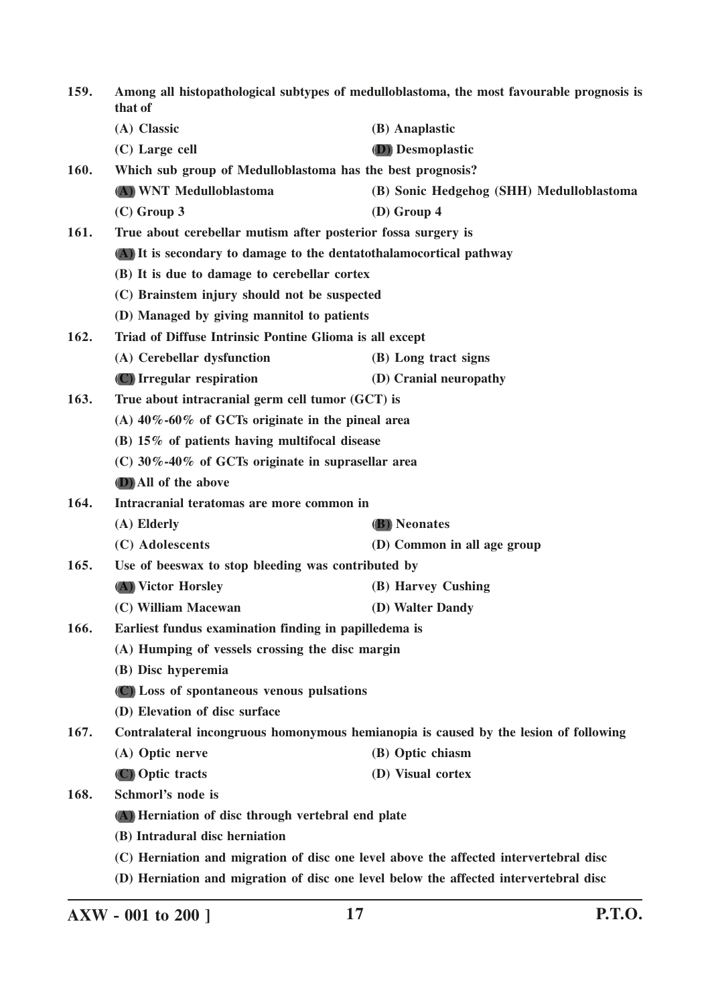| 159. | Among all histopathological subtypes of medulloblastoma, the most favourable prognosis is<br>that of |                                                                                      |
|------|------------------------------------------------------------------------------------------------------|--------------------------------------------------------------------------------------|
|      | (A) Classic                                                                                          | (B) Anaplastic                                                                       |
|      | (C) Large cell                                                                                       | (D) Desmoplastic                                                                     |
| 160. | Which sub group of Medulloblastoma has the best prognosis?                                           |                                                                                      |
|      | (A) WNT Medulloblastoma                                                                              | (B) Sonic Hedgehog (SHH) Medulloblastoma                                             |
|      | $(C)$ Group 3                                                                                        | $(D)$ Group 4                                                                        |
| 161. | True about cerebellar mutism after posterior fossa surgery is                                        |                                                                                      |
|      | (A) It is secondary to damage to the dentatothalamocortical pathway                                  |                                                                                      |
|      | (B) It is due to damage to cerebellar cortex                                                         |                                                                                      |
|      | (C) Brainstem injury should not be suspected                                                         |                                                                                      |
|      | (D) Managed by giving mannitol to patients                                                           |                                                                                      |
| 162. | Triad of Diffuse Intrinsic Pontine Glioma is all except                                              |                                                                                      |
|      | (A) Cerebellar dysfunction                                                                           | (B) Long tract signs                                                                 |
|      | (C) Irregular respiration                                                                            | (D) Cranial neuropathy                                                               |
| 163. | True about intracranial germ cell tumor (GCT) is                                                     |                                                                                      |
|      | (A) $40\% -60\%$ of GCTs originate in the pineal area                                                |                                                                                      |
|      | (B) 15% of patients having multifocal disease                                                        |                                                                                      |
|      | (C) $30\% -40\%$ of GCTs originate in suprasellar area                                               |                                                                                      |
|      | <b>D</b> ) All of the above                                                                          |                                                                                      |
| 164. | Intracranial teratomas are more common in                                                            |                                                                                      |
|      | (A) Elderly                                                                                          | <b>(B)</b> Neonates                                                                  |
|      | (C) Adolescents                                                                                      | (D) Common in all age group                                                          |
| 165. | Use of beeswax to stop bleeding was contributed by                                                   |                                                                                      |
|      | (A) Victor Horsley                                                                                   | (B) Harvey Cushing                                                                   |
|      | (C) William Macewan                                                                                  | (D) Walter Dandy                                                                     |
| 166. | Earliest fundus examination finding in papilledema is                                                |                                                                                      |
|      | (A) Humping of vessels crossing the disc margin                                                      |                                                                                      |
|      | (B) Disc hyperemia                                                                                   |                                                                                      |
|      | (C) Loss of spontaneous venous pulsations                                                            |                                                                                      |
|      | (D) Elevation of disc surface                                                                        |                                                                                      |
| 167. |                                                                                                      | Contralateral incongruous homonymous hemianopia is caused by the lesion of following |
|      | (A) Optic nerve                                                                                      | (B) Optic chiasm                                                                     |
|      | (C) Optic tracts                                                                                     | (D) Visual cortex                                                                    |
| 168. | Schmorl's node is                                                                                    |                                                                                      |
|      | (A) Herniation of disc through vertebral end plate                                                   |                                                                                      |
|      | (B) Intradural disc herniation                                                                       |                                                                                      |
|      | (C) Herniation and migration of disc one level above the affected intervertebral disc                |                                                                                      |
|      | (D) Herniation and migration of disc one level below the affected intervertebral disc                |                                                                                      |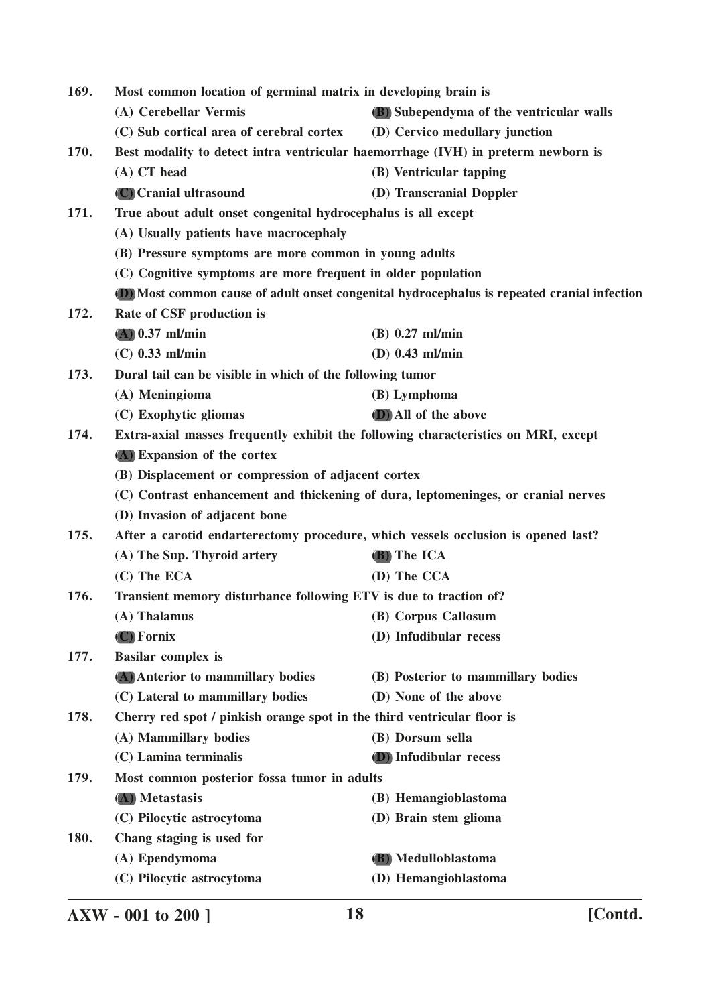| 169.<br>Most common location of germinal matrix in developing brain is |                                                                                             |                                                                                   |  |
|------------------------------------------------------------------------|---------------------------------------------------------------------------------------------|-----------------------------------------------------------------------------------|--|
|                                                                        | (A) Cerebellar Vermis                                                                       | (B) Subependyma of the ventricular walls                                          |  |
|                                                                        | (C) Sub cortical area of cerebral cortex                                                    | (D) Cervico medullary junction                                                    |  |
| 170.                                                                   |                                                                                             | Best modality to detect intra ventricular haemorrhage (IVH) in preterm newborn is |  |
|                                                                        | (A) CT head                                                                                 | (B) Ventricular tapping                                                           |  |
|                                                                        | (C) Cranial ultrasound                                                                      | (D) Transcranial Doppler                                                          |  |
| 171.                                                                   | True about adult onset congenital hydrocephalus is all except                               |                                                                                   |  |
|                                                                        | (A) Usually patients have macrocephaly                                                      |                                                                                   |  |
|                                                                        | (B) Pressure symptoms are more common in young adults                                       |                                                                                   |  |
|                                                                        | (C) Cognitive symptoms are more frequent in older population                                |                                                                                   |  |
|                                                                        | (D) Most common cause of adult onset congenital hydrocephalus is repeated cranial infection |                                                                                   |  |
| 172.                                                                   | Rate of CSF production is                                                                   |                                                                                   |  |
|                                                                        | $(A)$ 0.37 ml/min                                                                           | $(B)$ 0.27 ml/min                                                                 |  |
|                                                                        | $(C)$ 0.33 ml/min                                                                           | $(D)$ 0.43 ml/min                                                                 |  |
| 173.                                                                   | Dural tail can be visible in which of the following tumor                                   |                                                                                   |  |
|                                                                        | (A) Meningioma                                                                              | (B) Lymphoma                                                                      |  |
|                                                                        | (C) Exophytic gliomas                                                                       | (D) All of the above                                                              |  |
| 174.                                                                   | Extra-axial masses frequently exhibit the following characteristics on MRI, except          |                                                                                   |  |
|                                                                        | (A) Expansion of the cortex                                                                 |                                                                                   |  |
|                                                                        | (B) Displacement or compression of adjacent cortex                                          |                                                                                   |  |
|                                                                        | (C) Contrast enhancement and thickening of dura, leptomeninges, or cranial nerves           |                                                                                   |  |
|                                                                        | (D) Invasion of adjacent bone                                                               |                                                                                   |  |
| 175.                                                                   | After a carotid endarterectomy procedure, which vessels occlusion is opened last?           |                                                                                   |  |
|                                                                        | (A) The Sup. Thyroid artery                                                                 | (B) The ICA                                                                       |  |
|                                                                        | (C) The ECA                                                                                 | (D) The CCA                                                                       |  |
| 176.                                                                   | Transient memory disturbance following ETV is due to traction of?                           |                                                                                   |  |
|                                                                        | (A) Thalamus                                                                                | (B) Corpus Callosum                                                               |  |
|                                                                        | (C) Fornix                                                                                  | (D) Infudibular recess                                                            |  |
| 177.                                                                   | <b>Basilar complex is</b>                                                                   |                                                                                   |  |
|                                                                        | (A) Anterior to mammillary bodies                                                           | (B) Posterior to mammillary bodies                                                |  |
|                                                                        | (C) Lateral to mammillary bodies                                                            | (D) None of the above                                                             |  |
| 178.                                                                   | Cherry red spot / pinkish orange spot in the third ventricular floor is                     |                                                                                   |  |
|                                                                        | (A) Mammillary bodies                                                                       | (B) Dorsum sella                                                                  |  |
|                                                                        | (C) Lamina terminalis                                                                       | <b>(D)</b> Infudibular recess                                                     |  |
| 179.                                                                   | Most common posterior fossa tumor in adults                                                 |                                                                                   |  |
|                                                                        | (A) Metastasis                                                                              | (B) Hemangioblastoma                                                              |  |
|                                                                        | (C) Pilocytic astrocytoma                                                                   | (D) Brain stem glioma                                                             |  |
| 180.                                                                   | Chang staging is used for                                                                   |                                                                                   |  |
|                                                                        | (A) Ependymoma                                                                              | (B) Medulloblastoma                                                               |  |
|                                                                        | (C) Pilocytic astrocytoma                                                                   | (D) Hemangioblastoma                                                              |  |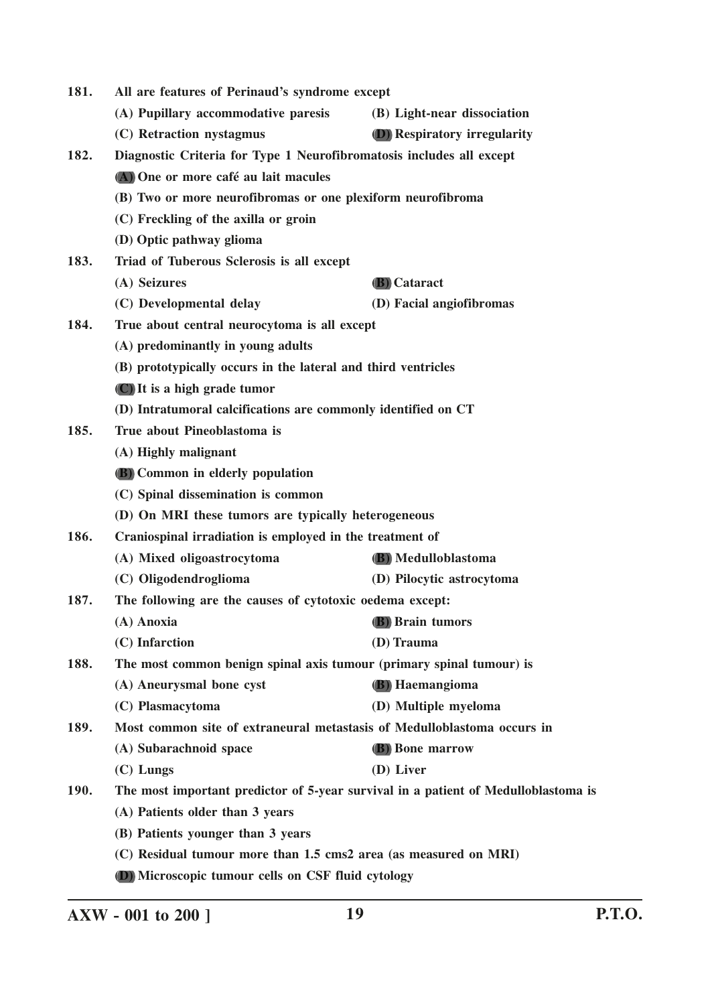| 181.        | All are features of Perinaud's syndrome except                                     |                                     |
|-------------|------------------------------------------------------------------------------------|-------------------------------------|
|             | (A) Pupillary accommodative paresis                                                | (B) Light-near dissociation         |
|             | (C) Retraction nystagmus                                                           | <b>(D)</b> Respiratory irregularity |
| 182.        | Diagnostic Criteria for Type 1 Neurofibromatosis includes all except               |                                     |
|             | (A) One or more café au lait macules                                               |                                     |
|             | (B) Two or more neurofibromas or one plexiform neurofibroma                        |                                     |
|             | (C) Freckling of the axilla or groin                                               |                                     |
|             | (D) Optic pathway glioma                                                           |                                     |
| 183.        | Triad of Tuberous Sclerosis is all except                                          |                                     |
|             | (A) Seizures                                                                       | (B) Cataract                        |
|             | (C) Developmental delay                                                            | (D) Facial angiofibromas            |
| 184.        | True about central neurocytoma is all except                                       |                                     |
|             | (A) predominantly in young adults                                                  |                                     |
|             | (B) prototypically occurs in the lateral and third ventricles                      |                                     |
|             | (C) It is a high grade tumor                                                       |                                     |
|             | (D) Intratumoral calcifications are commonly identified on CT                      |                                     |
| 185.        | True about Pineoblastoma is                                                        |                                     |
|             | (A) Highly malignant                                                               |                                     |
|             | <b>(B)</b> Common in elderly population                                            |                                     |
|             | (C) Spinal dissemination is common                                                 |                                     |
|             | (D) On MRI these tumors are typically heterogeneous                                |                                     |
| 186.        | Craniospinal irradiation is employed in the treatment of                           |                                     |
|             | (A) Mixed oligoastrocytoma                                                         | <b>(B)</b> Medulloblastoma          |
|             | (C) Oligodendroglioma                                                              | (D) Pilocytic astrocytoma           |
| 187.        | The following are the causes of cytotoxic oedema except:                           |                                     |
|             | (A) Anoxia                                                                         | (B) Brain tumors                    |
|             | (C) Infarction                                                                     | (D) Trauma                          |
| 188.        | The most common benign spinal axis tumour (primary spinal tumour) is               |                                     |
|             | (A) Aneurysmal bone cyst                                                           | (B) Haemangioma                     |
|             | (C) Plasmacytoma                                                                   | (D) Multiple myeloma                |
| 189.        | Most common site of extraneural metastasis of Medulloblastoma occurs in            |                                     |
|             | (A) Subarachnoid space                                                             | <b>B</b> ) Bone marrow              |
|             | $(C)$ Lungs                                                                        | (D) Liver                           |
| <b>190.</b> | The most important predictor of 5-year survival in a patient of Medulloblastoma is |                                     |
|             | (A) Patients older than 3 years                                                    |                                     |
|             | (B) Patients younger than 3 years                                                  |                                     |
|             | (C) Residual tumour more than 1.5 cms2 area (as measured on MRI)                   |                                     |
|             | (D) Microscopic tumour cells on CSF fluid cytology                                 |                                     |